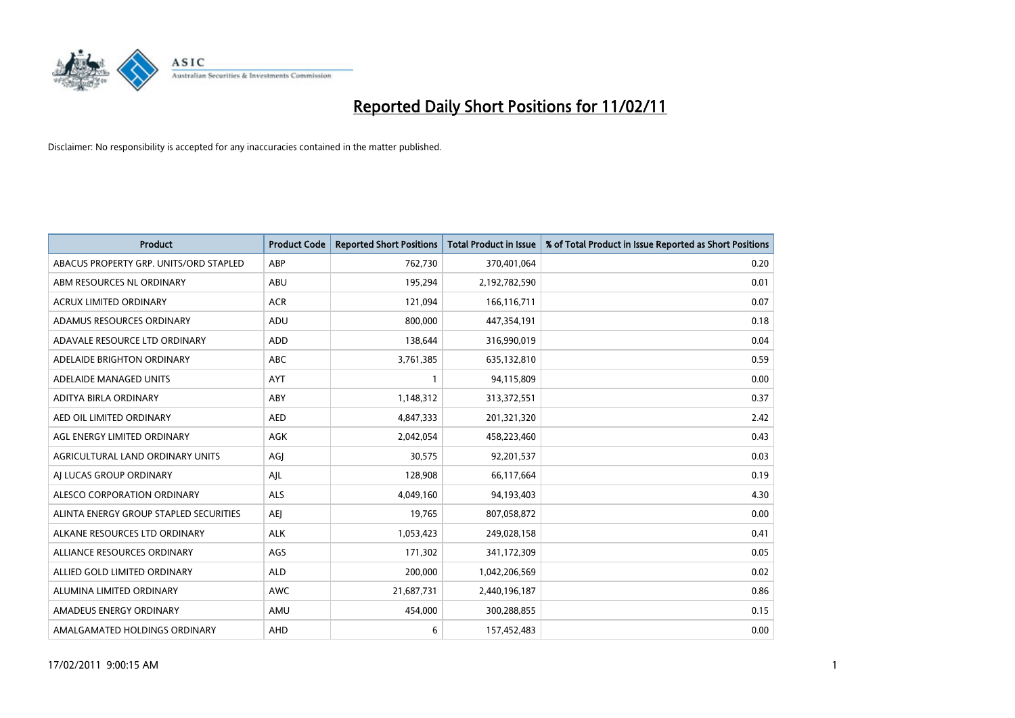

| Product                                | <b>Product Code</b> | <b>Reported Short Positions</b> | <b>Total Product in Issue</b> | % of Total Product in Issue Reported as Short Positions |
|----------------------------------------|---------------------|---------------------------------|-------------------------------|---------------------------------------------------------|
| ABACUS PROPERTY GRP. UNITS/ORD STAPLED | ABP                 | 762,730                         | 370,401,064                   | 0.20                                                    |
| ABM RESOURCES NL ORDINARY              | ABU                 | 195,294                         | 2,192,782,590                 | 0.01                                                    |
| <b>ACRUX LIMITED ORDINARY</b>          | <b>ACR</b>          | 121,094                         | 166,116,711                   | 0.07                                                    |
| ADAMUS RESOURCES ORDINARY              | ADU                 | 800,000                         | 447,354,191                   | 0.18                                                    |
| ADAVALE RESOURCE LTD ORDINARY          | <b>ADD</b>          | 138,644                         | 316,990,019                   | 0.04                                                    |
| ADELAIDE BRIGHTON ORDINARY             | <b>ABC</b>          | 3,761,385                       | 635,132,810                   | 0.59                                                    |
| ADELAIDE MANAGED UNITS                 | <b>AYT</b>          |                                 | 94,115,809                    | 0.00                                                    |
| ADITYA BIRLA ORDINARY                  | ABY                 | 1,148,312                       | 313,372,551                   | 0.37                                                    |
| AED OIL LIMITED ORDINARY               | <b>AED</b>          | 4,847,333                       | 201,321,320                   | 2.42                                                    |
| AGL ENERGY LIMITED ORDINARY            | <b>AGK</b>          | 2,042,054                       | 458,223,460                   | 0.43                                                    |
| AGRICULTURAL LAND ORDINARY UNITS       | AGJ                 | 30,575                          | 92,201,537                    | 0.03                                                    |
| AI LUCAS GROUP ORDINARY                | AJL                 | 128,908                         | 66,117,664                    | 0.19                                                    |
| ALESCO CORPORATION ORDINARY            | <b>ALS</b>          | 4,049,160                       | 94,193,403                    | 4.30                                                    |
| ALINTA ENERGY GROUP STAPLED SECURITIES | <b>AEI</b>          | 19,765                          | 807,058,872                   | 0.00                                                    |
| ALKANE RESOURCES LTD ORDINARY          | <b>ALK</b>          | 1,053,423                       | 249,028,158                   | 0.41                                                    |
| ALLIANCE RESOURCES ORDINARY            | AGS                 | 171,302                         | 341,172,309                   | 0.05                                                    |
| ALLIED GOLD LIMITED ORDINARY           | <b>ALD</b>          | 200,000                         | 1,042,206,569                 | 0.02                                                    |
| ALUMINA LIMITED ORDINARY               | <b>AWC</b>          | 21,687,731                      | 2,440,196,187                 | 0.86                                                    |
| AMADEUS ENERGY ORDINARY                | AMU                 | 454,000                         | 300,288,855                   | 0.15                                                    |
| AMALGAMATED HOLDINGS ORDINARY          | AHD                 | 6                               | 157,452,483                   | 0.00                                                    |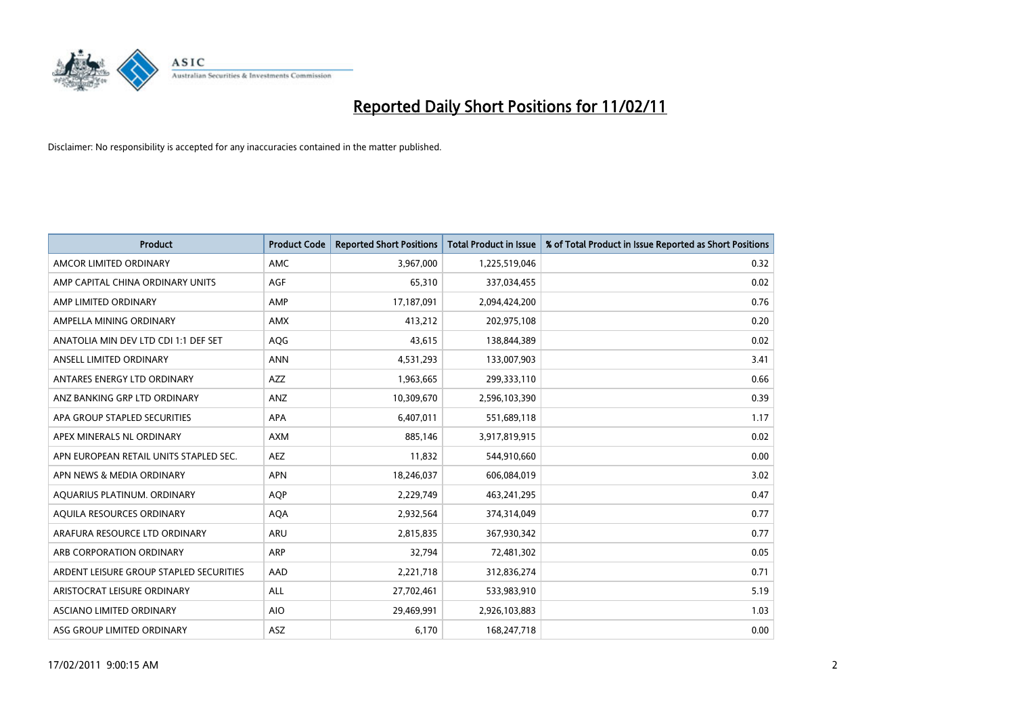

| <b>Product</b>                          | <b>Product Code</b> | <b>Reported Short Positions</b> | <b>Total Product in Issue</b> | % of Total Product in Issue Reported as Short Positions |
|-----------------------------------------|---------------------|---------------------------------|-------------------------------|---------------------------------------------------------|
| AMCOR LIMITED ORDINARY                  | <b>AMC</b>          | 3,967,000                       | 1,225,519,046                 | 0.32                                                    |
| AMP CAPITAL CHINA ORDINARY UNITS        | AGF                 | 65,310                          | 337,034,455                   | 0.02                                                    |
| AMP LIMITED ORDINARY                    | AMP                 | 17,187,091                      | 2,094,424,200                 | 0.76                                                    |
| AMPELLA MINING ORDINARY                 | <b>AMX</b>          | 413,212                         | 202,975,108                   | 0.20                                                    |
| ANATOLIA MIN DEV LTD CDI 1:1 DEF SET    | AQG                 | 43,615                          | 138,844,389                   | 0.02                                                    |
| ANSELL LIMITED ORDINARY                 | <b>ANN</b>          | 4,531,293                       | 133,007,903                   | 3.41                                                    |
| ANTARES ENERGY LTD ORDINARY             | <b>AZZ</b>          | 1,963,665                       | 299,333,110                   | 0.66                                                    |
| ANZ BANKING GRP LTD ORDINARY            | <b>ANZ</b>          | 10,309,670                      | 2,596,103,390                 | 0.39                                                    |
| APA GROUP STAPLED SECURITIES            | APA                 | 6,407,011                       | 551,689,118                   | 1.17                                                    |
| APEX MINERALS NL ORDINARY               | <b>AXM</b>          | 885,146                         | 3,917,819,915                 | 0.02                                                    |
| APN EUROPEAN RETAIL UNITS STAPLED SEC.  | <b>AEZ</b>          | 11,832                          | 544,910,660                   | 0.00                                                    |
| APN NEWS & MEDIA ORDINARY               | <b>APN</b>          | 18,246,037                      | 606,084,019                   | 3.02                                                    |
| AQUARIUS PLATINUM. ORDINARY             | <b>AOP</b>          | 2,229,749                       | 463,241,295                   | 0.47                                                    |
| AQUILA RESOURCES ORDINARY               | <b>AQA</b>          | 2,932,564                       | 374,314,049                   | 0.77                                                    |
| ARAFURA RESOURCE LTD ORDINARY           | <b>ARU</b>          | 2,815,835                       | 367,930,342                   | 0.77                                                    |
| ARB CORPORATION ORDINARY                | ARP                 | 32,794                          | 72,481,302                    | 0.05                                                    |
| ARDENT LEISURE GROUP STAPLED SECURITIES | AAD                 | 2,221,718                       | 312,836,274                   | 0.71                                                    |
| ARISTOCRAT LEISURE ORDINARY             | <b>ALL</b>          | 27,702,461                      | 533,983,910                   | 5.19                                                    |
| <b>ASCIANO LIMITED ORDINARY</b>         | <b>AIO</b>          | 29,469,991                      | 2,926,103,883                 | 1.03                                                    |
| ASG GROUP LIMITED ORDINARY              | <b>ASZ</b>          | 6,170                           | 168,247,718                   | 0.00                                                    |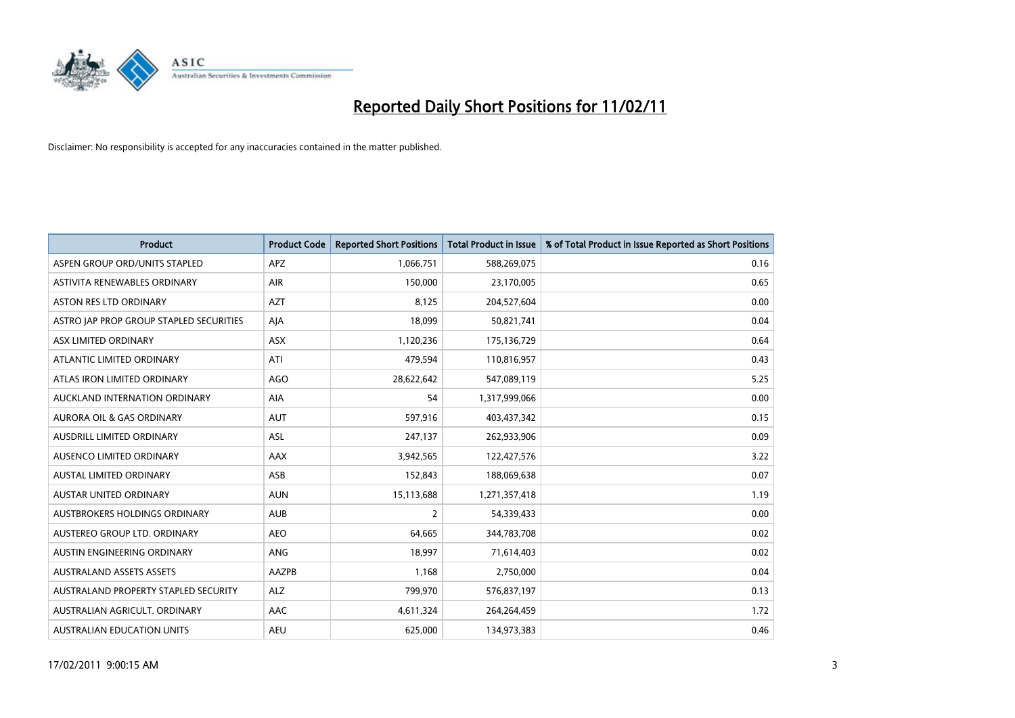

| <b>Product</b>                          | <b>Product Code</b> | <b>Reported Short Positions</b> | Total Product in Issue | % of Total Product in Issue Reported as Short Positions |
|-----------------------------------------|---------------------|---------------------------------|------------------------|---------------------------------------------------------|
| ASPEN GROUP ORD/UNITS STAPLED           | <b>APZ</b>          | 1,066,751                       | 588,269,075            | 0.16                                                    |
| ASTIVITA RENEWABLES ORDINARY            | <b>AIR</b>          | 150,000                         | 23,170,005             | 0.65                                                    |
| <b>ASTON RES LTD ORDINARY</b>           | <b>AZT</b>          | 8,125                           | 204,527,604            | 0.00                                                    |
| ASTRO JAP PROP GROUP STAPLED SECURITIES | AJA                 | 18,099                          | 50,821,741             | 0.04                                                    |
| ASX LIMITED ORDINARY                    | ASX                 | 1,120,236                       | 175,136,729            | 0.64                                                    |
| ATLANTIC LIMITED ORDINARY               | ATI                 | 479,594                         | 110,816,957            | 0.43                                                    |
| ATLAS IRON LIMITED ORDINARY             | <b>AGO</b>          | 28,622,642                      | 547,089,119            | 5.25                                                    |
| AUCKLAND INTERNATION ORDINARY           | AIA                 | 54                              | 1,317,999,066          | 0.00                                                    |
| AURORA OIL & GAS ORDINARY               | <b>AUT</b>          | 597,916                         | 403,437,342            | 0.15                                                    |
| AUSDRILL LIMITED ORDINARY               | <b>ASL</b>          | 247,137                         | 262,933,906            | 0.09                                                    |
| AUSENCO LIMITED ORDINARY                | AAX                 | 3,942,565                       | 122,427,576            | 3.22                                                    |
| <b>AUSTAL LIMITED ORDINARY</b>          | ASB                 | 152,843                         | 188,069,638            | 0.07                                                    |
| <b>AUSTAR UNITED ORDINARY</b>           | <b>AUN</b>          | 15,113,688                      | 1,271,357,418          | 1.19                                                    |
| AUSTBROKERS HOLDINGS ORDINARY           | <b>AUB</b>          | $\overline{2}$                  | 54,339,433             | 0.00                                                    |
| AUSTEREO GROUP LTD. ORDINARY            | <b>AEO</b>          | 64,665                          | 344,783,708            | 0.02                                                    |
| AUSTIN ENGINEERING ORDINARY             | <b>ANG</b>          | 18,997                          | 71,614,403             | 0.02                                                    |
| <b>AUSTRALAND ASSETS ASSETS</b>         | AAZPB               | 1,168                           | 2,750,000              | 0.04                                                    |
| AUSTRALAND PROPERTY STAPLED SECURITY    | <b>ALZ</b>          | 799,970                         | 576,837,197            | 0.13                                                    |
| AUSTRALIAN AGRICULT, ORDINARY           | AAC                 | 4,611,324                       | 264,264,459            | 1.72                                                    |
| AUSTRALIAN EDUCATION UNITS              | <b>AEU</b>          | 625,000                         | 134,973,383            | 0.46                                                    |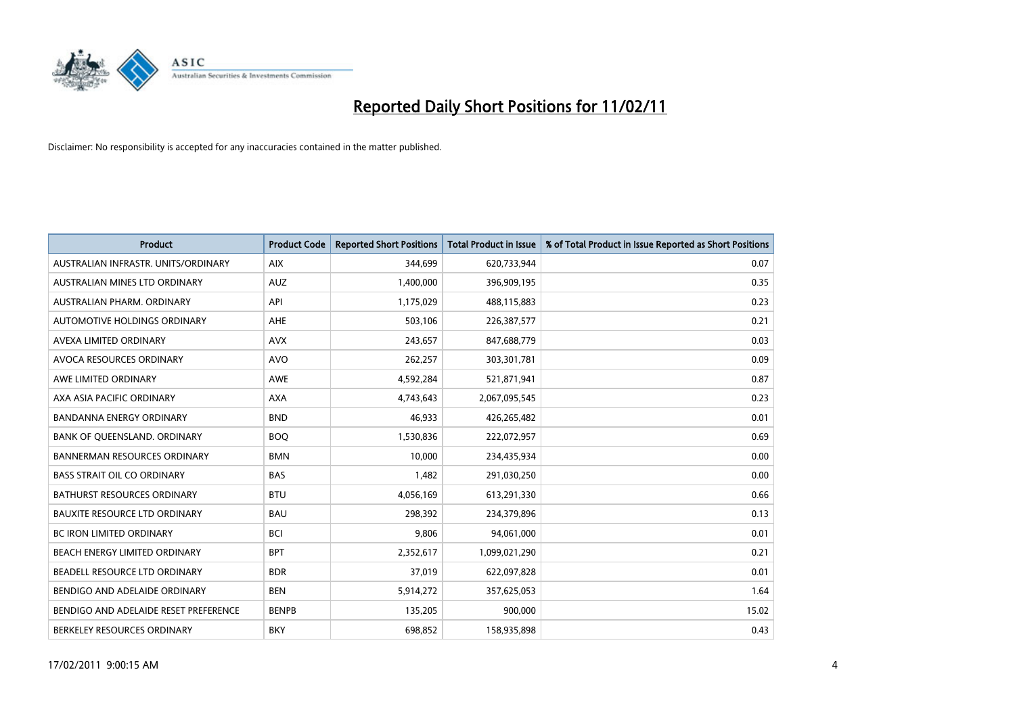

| Product                               | <b>Product Code</b> | <b>Reported Short Positions</b> | <b>Total Product in Issue</b> | % of Total Product in Issue Reported as Short Positions |
|---------------------------------------|---------------------|---------------------------------|-------------------------------|---------------------------------------------------------|
| AUSTRALIAN INFRASTR. UNITS/ORDINARY   | <b>AIX</b>          | 344,699                         | 620,733,944                   | 0.07                                                    |
| AUSTRALIAN MINES LTD ORDINARY         | <b>AUZ</b>          | 1,400,000                       | 396,909,195                   | 0.35                                                    |
| AUSTRALIAN PHARM, ORDINARY            | API                 | 1,175,029                       | 488,115,883                   | 0.23                                                    |
| AUTOMOTIVE HOLDINGS ORDINARY          | AHE                 | 503,106                         | 226,387,577                   | 0.21                                                    |
| AVEXA LIMITED ORDINARY                | <b>AVX</b>          | 243,657                         | 847,688,779                   | 0.03                                                    |
| AVOCA RESOURCES ORDINARY              | <b>AVO</b>          | 262,257                         | 303,301,781                   | 0.09                                                    |
| AWE LIMITED ORDINARY                  | <b>AWE</b>          | 4,592,284                       | 521,871,941                   | 0.87                                                    |
| AXA ASIA PACIFIC ORDINARY             | <b>AXA</b>          | 4,743,643                       | 2,067,095,545                 | 0.23                                                    |
| BANDANNA ENERGY ORDINARY              | <b>BND</b>          | 46,933                          | 426,265,482                   | 0.01                                                    |
| BANK OF QUEENSLAND. ORDINARY          | <b>BOQ</b>          | 1,530,836                       | 222,072,957                   | 0.69                                                    |
| <b>BANNERMAN RESOURCES ORDINARY</b>   | <b>BMN</b>          | 10,000                          | 234,435,934                   | 0.00                                                    |
| <b>BASS STRAIT OIL CO ORDINARY</b>    | <b>BAS</b>          | 1,482                           | 291,030,250                   | 0.00                                                    |
| <b>BATHURST RESOURCES ORDINARY</b>    | <b>BTU</b>          | 4,056,169                       | 613,291,330                   | 0.66                                                    |
| <b>BAUXITE RESOURCE LTD ORDINARY</b>  | <b>BAU</b>          | 298,392                         | 234,379,896                   | 0.13                                                    |
| <b>BC IRON LIMITED ORDINARY</b>       | <b>BCI</b>          | 9,806                           | 94,061,000                    | 0.01                                                    |
| BEACH ENERGY LIMITED ORDINARY         | <b>BPT</b>          | 2,352,617                       | 1,099,021,290                 | 0.21                                                    |
| BEADELL RESOURCE LTD ORDINARY         | <b>BDR</b>          | 37,019                          | 622,097,828                   | 0.01                                                    |
| BENDIGO AND ADELAIDE ORDINARY         | <b>BEN</b>          | 5,914,272                       | 357,625,053                   | 1.64                                                    |
| BENDIGO AND ADELAIDE RESET PREFERENCE | <b>BENPB</b>        | 135,205                         | 900,000                       | 15.02                                                   |
| BERKELEY RESOURCES ORDINARY           | <b>BKY</b>          | 698,852                         | 158,935,898                   | 0.43                                                    |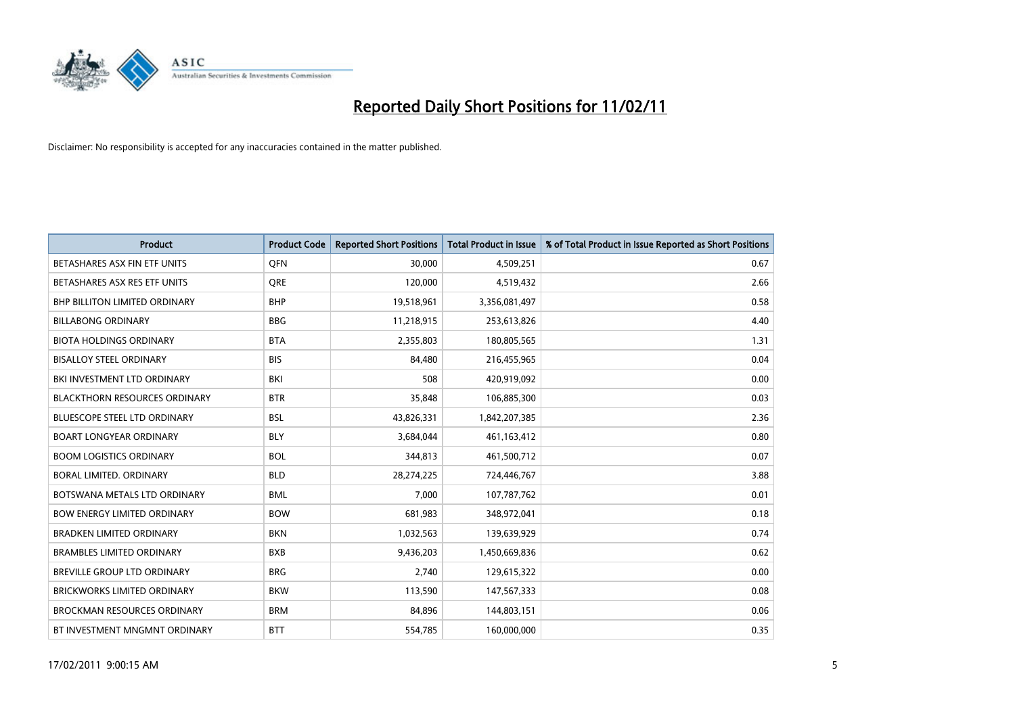

| <b>Product</b>                       | <b>Product Code</b> | <b>Reported Short Positions</b> | <b>Total Product in Issue</b> | % of Total Product in Issue Reported as Short Positions |
|--------------------------------------|---------------------|---------------------------------|-------------------------------|---------------------------------------------------------|
| BETASHARES ASX FIN ETF UNITS         | <b>OFN</b>          | 30,000                          | 4,509,251                     | 0.67                                                    |
| BETASHARES ASX RES ETF UNITS         | <b>ORE</b>          | 120,000                         | 4,519,432                     | 2.66                                                    |
| <b>BHP BILLITON LIMITED ORDINARY</b> | <b>BHP</b>          | 19,518,961                      | 3,356,081,497                 | 0.58                                                    |
| <b>BILLABONG ORDINARY</b>            | <b>BBG</b>          | 11,218,915                      | 253,613,826                   | 4.40                                                    |
| <b>BIOTA HOLDINGS ORDINARY</b>       | <b>BTA</b>          | 2,355,803                       | 180,805,565                   | 1.31                                                    |
| <b>BISALLOY STEEL ORDINARY</b>       | <b>BIS</b>          | 84,480                          | 216,455,965                   | 0.04                                                    |
| BKI INVESTMENT LTD ORDINARY          | BKI                 | 508                             | 420,919,092                   | 0.00                                                    |
| <b>BLACKTHORN RESOURCES ORDINARY</b> | <b>BTR</b>          | 35,848                          | 106,885,300                   | 0.03                                                    |
| <b>BLUESCOPE STEEL LTD ORDINARY</b>  | <b>BSL</b>          | 43,826,331                      | 1,842,207,385                 | 2.36                                                    |
| <b>BOART LONGYEAR ORDINARY</b>       | <b>BLY</b>          | 3,684,044                       | 461,163,412                   | 0.80                                                    |
| <b>BOOM LOGISTICS ORDINARY</b>       | <b>BOL</b>          | 344,813                         | 461,500,712                   | 0.07                                                    |
| BORAL LIMITED, ORDINARY              | <b>BLD</b>          | 28,274,225                      | 724,446,767                   | 3.88                                                    |
| BOTSWANA METALS LTD ORDINARY         | <b>BML</b>          | 7,000                           | 107,787,762                   | 0.01                                                    |
| <b>BOW ENERGY LIMITED ORDINARY</b>   | <b>BOW</b>          | 681,983                         | 348,972,041                   | 0.18                                                    |
| <b>BRADKEN LIMITED ORDINARY</b>      | <b>BKN</b>          | 1,032,563                       | 139,639,929                   | 0.74                                                    |
| <b>BRAMBLES LIMITED ORDINARY</b>     | <b>BXB</b>          | 9,436,203                       | 1,450,669,836                 | 0.62                                                    |
| BREVILLE GROUP LTD ORDINARY          | <b>BRG</b>          | 2,740                           | 129,615,322                   | 0.00                                                    |
| <b>BRICKWORKS LIMITED ORDINARY</b>   | <b>BKW</b>          | 113,590                         | 147,567,333                   | 0.08                                                    |
| <b>BROCKMAN RESOURCES ORDINARY</b>   | <b>BRM</b>          | 84,896                          | 144,803,151                   | 0.06                                                    |
| BT INVESTMENT MNGMNT ORDINARY        | <b>BTT</b>          | 554,785                         | 160,000,000                   | 0.35                                                    |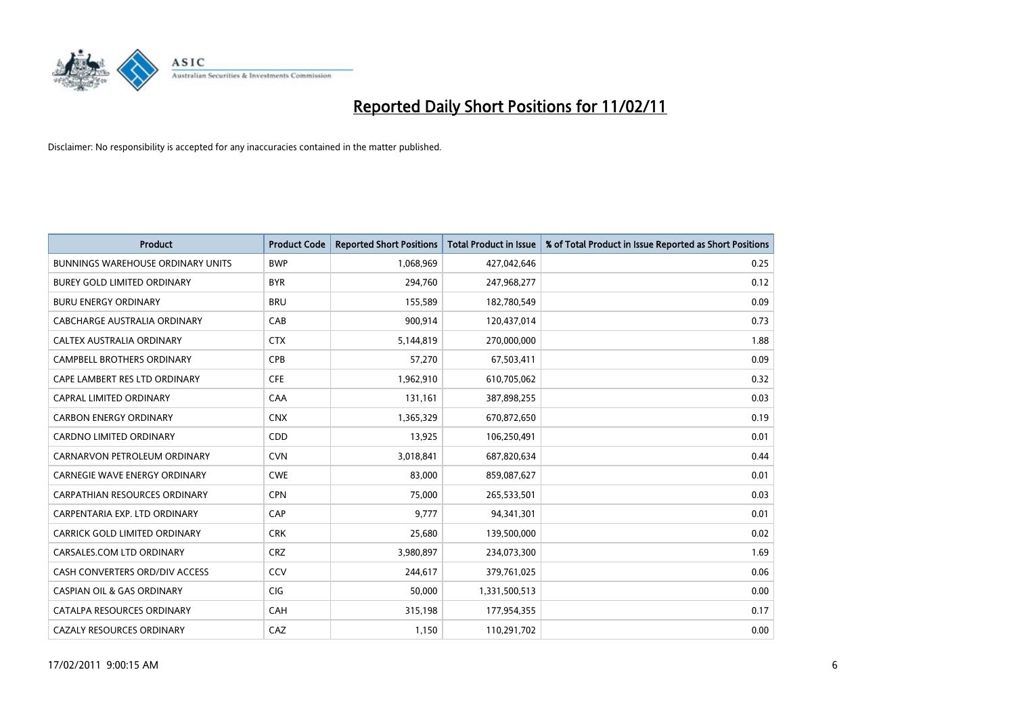

| <b>Product</b>                           | <b>Product Code</b> | <b>Reported Short Positions</b> | <b>Total Product in Issue</b> | % of Total Product in Issue Reported as Short Positions |
|------------------------------------------|---------------------|---------------------------------|-------------------------------|---------------------------------------------------------|
| <b>BUNNINGS WAREHOUSE ORDINARY UNITS</b> | <b>BWP</b>          | 1,068,969                       | 427,042,646                   | 0.25                                                    |
| BUREY GOLD LIMITED ORDINARY              | <b>BYR</b>          | 294,760                         | 247,968,277                   | 0.12                                                    |
| <b>BURU ENERGY ORDINARY</b>              | <b>BRU</b>          | 155,589                         | 182,780,549                   | 0.09                                                    |
| CABCHARGE AUSTRALIA ORDINARY             | CAB                 | 900,914                         | 120,437,014                   | 0.73                                                    |
| CALTEX AUSTRALIA ORDINARY                | <b>CTX</b>          | 5,144,819                       | 270,000,000                   | 1.88                                                    |
| <b>CAMPBELL BROTHERS ORDINARY</b>        | CPB                 | 57,270                          | 67,503,411                    | 0.09                                                    |
| CAPE LAMBERT RES LTD ORDINARY            | <b>CFE</b>          | 1,962,910                       | 610,705,062                   | 0.32                                                    |
| <b>CAPRAL LIMITED ORDINARY</b>           | CAA                 | 131,161                         | 387,898,255                   | 0.03                                                    |
| <b>CARBON ENERGY ORDINARY</b>            | <b>CNX</b>          | 1,365,329                       | 670,872,650                   | 0.19                                                    |
| <b>CARDNO LIMITED ORDINARY</b>           | CDD                 | 13,925                          | 106,250,491                   | 0.01                                                    |
| CARNARVON PETROLEUM ORDINARY             | <b>CVN</b>          | 3,018,841                       | 687,820,634                   | 0.44                                                    |
| CARNEGIE WAVE ENERGY ORDINARY            | <b>CWE</b>          | 83,000                          | 859,087,627                   | 0.01                                                    |
| CARPATHIAN RESOURCES ORDINARY            | <b>CPN</b>          | 75,000                          | 265,533,501                   | 0.03                                                    |
| CARPENTARIA EXP. LTD ORDINARY            | CAP                 | 9,777                           | 94,341,301                    | 0.01                                                    |
| CARRICK GOLD LIMITED ORDINARY            | <b>CRK</b>          | 25,680                          | 139,500,000                   | 0.02                                                    |
| CARSALES.COM LTD ORDINARY                | <b>CRZ</b>          | 3,980,897                       | 234,073,300                   | 1.69                                                    |
| CASH CONVERTERS ORD/DIV ACCESS           | CCV                 | 244,617                         | 379,761,025                   | 0.06                                                    |
| <b>CASPIAN OIL &amp; GAS ORDINARY</b>    | CIG                 | 50,000                          | 1,331,500,513                 | 0.00                                                    |
| CATALPA RESOURCES ORDINARY               | <b>CAH</b>          | 315,198                         | 177,954,355                   | 0.17                                                    |
| <b>CAZALY RESOURCES ORDINARY</b>         | CAZ                 | 1,150                           | 110,291,702                   | 0.00                                                    |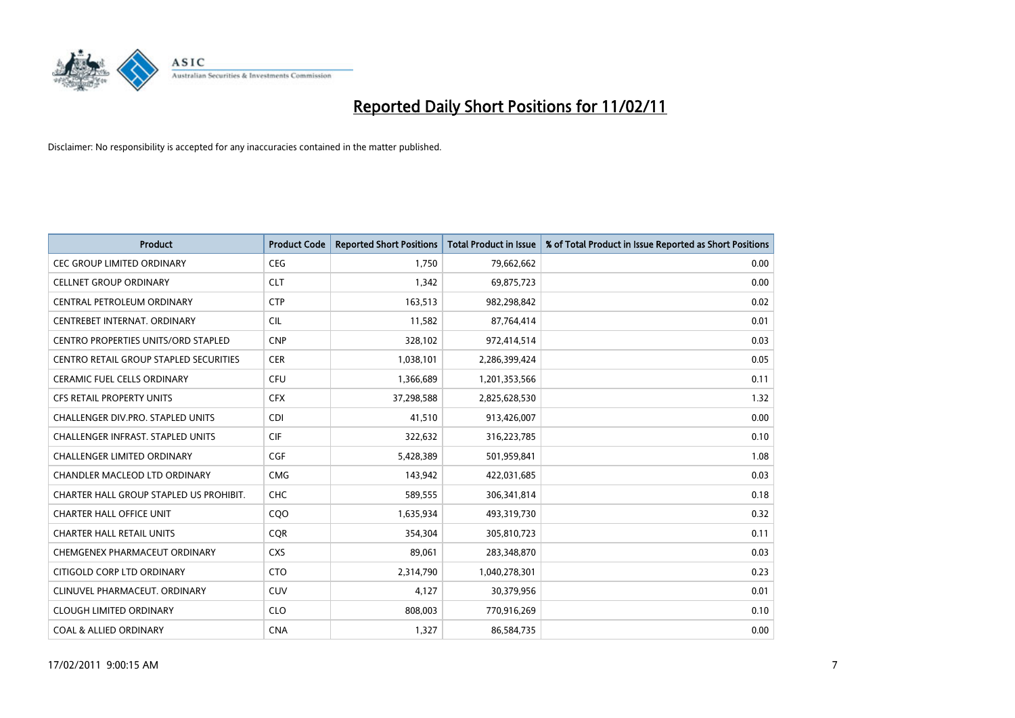

| <b>Product</b>                                | <b>Product Code</b> | <b>Reported Short Positions</b> | Total Product in Issue | % of Total Product in Issue Reported as Short Positions |
|-----------------------------------------------|---------------------|---------------------------------|------------------------|---------------------------------------------------------|
| <b>CEC GROUP LIMITED ORDINARY</b>             | <b>CEG</b>          | 1,750                           | 79,662,662             | 0.00                                                    |
| <b>CELLNET GROUP ORDINARY</b>                 | <b>CLT</b>          | 1,342                           | 69,875,723             | 0.00                                                    |
| CENTRAL PETROLEUM ORDINARY                    | <b>CTP</b>          | 163,513                         | 982,298,842            | 0.02                                                    |
| CENTREBET INTERNAT. ORDINARY                  | <b>CIL</b>          | 11,582                          | 87,764,414             | 0.01                                                    |
| CENTRO PROPERTIES UNITS/ORD STAPLED           | <b>CNP</b>          | 328,102                         | 972,414,514            | 0.03                                                    |
| <b>CENTRO RETAIL GROUP STAPLED SECURITIES</b> | <b>CER</b>          | 1,038,101                       | 2,286,399,424          | 0.05                                                    |
| <b>CERAMIC FUEL CELLS ORDINARY</b>            | <b>CFU</b>          | 1,366,689                       | 1,201,353,566          | 0.11                                                    |
| <b>CFS RETAIL PROPERTY UNITS</b>              | <b>CFX</b>          | 37,298,588                      | 2,825,628,530          | 1.32                                                    |
| CHALLENGER DIV.PRO. STAPLED UNITS             | <b>CDI</b>          | 41,510                          | 913,426,007            | 0.00                                                    |
| CHALLENGER INFRAST, STAPLED UNITS             | <b>CIF</b>          | 322,632                         | 316,223,785            | 0.10                                                    |
| <b>CHALLENGER LIMITED ORDINARY</b>            | <b>CGF</b>          | 5,428,389                       | 501,959,841            | 1.08                                                    |
| <b>CHANDLER MACLEOD LTD ORDINARY</b>          | <b>CMG</b>          | 143,942                         | 422,031,685            | 0.03                                                    |
| CHARTER HALL GROUP STAPLED US PROHIBIT.       | <b>CHC</b>          | 589,555                         | 306,341,814            | 0.18                                                    |
| <b>CHARTER HALL OFFICE UNIT</b>               | COO                 | 1,635,934                       | 493,319,730            | 0.32                                                    |
| <b>CHARTER HALL RETAIL UNITS</b>              | <b>CQR</b>          | 354,304                         | 305,810,723            | 0.11                                                    |
| CHEMGENEX PHARMACEUT ORDINARY                 | <b>CXS</b>          | 89,061                          | 283,348,870            | 0.03                                                    |
| CITIGOLD CORP LTD ORDINARY                    | <b>CTO</b>          | 2,314,790                       | 1,040,278,301          | 0.23                                                    |
| CLINUVEL PHARMACEUT. ORDINARY                 | <b>CUV</b>          | 4,127                           | 30,379,956             | 0.01                                                    |
| <b>CLOUGH LIMITED ORDINARY</b>                | <b>CLO</b>          | 808,003                         | 770,916,269            | 0.10                                                    |
| <b>COAL &amp; ALLIED ORDINARY</b>             | <b>CNA</b>          | 1,327                           | 86,584,735             | 0.00                                                    |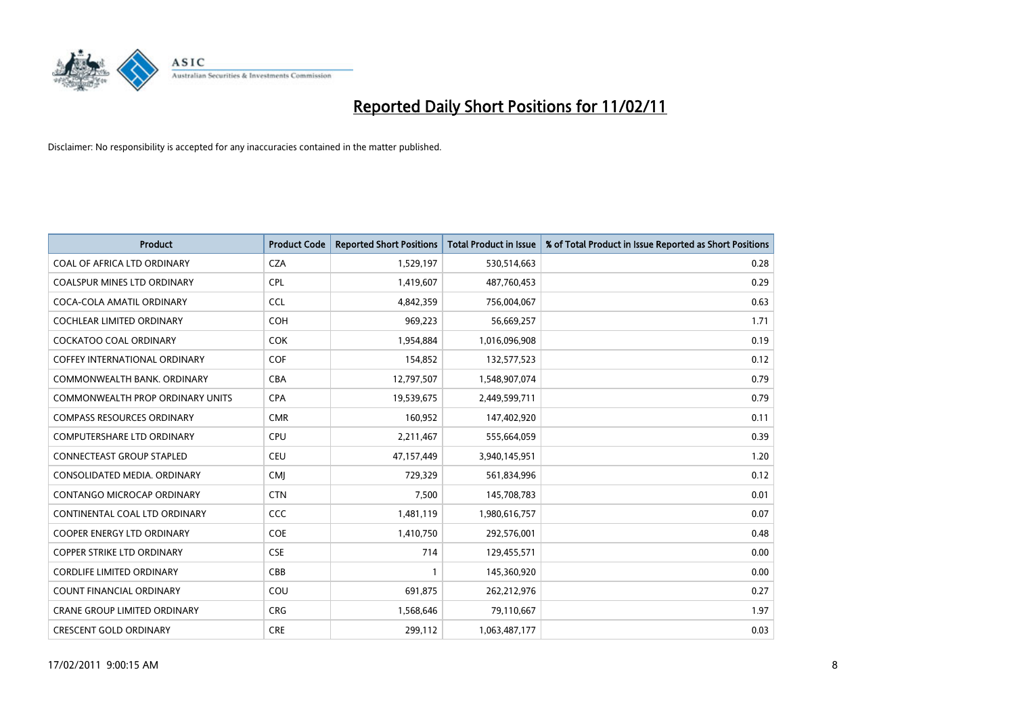

| <b>Product</b>                       | <b>Product Code</b> | <b>Reported Short Positions</b> | <b>Total Product in Issue</b> | % of Total Product in Issue Reported as Short Positions |
|--------------------------------------|---------------------|---------------------------------|-------------------------------|---------------------------------------------------------|
| COAL OF AFRICA LTD ORDINARY          | <b>CZA</b>          | 1,529,197                       | 530,514,663                   | 0.28                                                    |
| COALSPUR MINES LTD ORDINARY          | <b>CPL</b>          | 1,419,607                       | 487,760,453                   | 0.29                                                    |
| COCA-COLA AMATIL ORDINARY            | <b>CCL</b>          | 4,842,359                       | 756,004,067                   | 0.63                                                    |
| COCHLEAR LIMITED ORDINARY            | <b>COH</b>          | 969,223                         | 56,669,257                    | 1.71                                                    |
| <b>COCKATOO COAL ORDINARY</b>        | COK                 | 1,954,884                       | 1,016,096,908                 | 0.19                                                    |
| <b>COFFEY INTERNATIONAL ORDINARY</b> | <b>COF</b>          | 154,852                         | 132,577,523                   | 0.12                                                    |
| COMMONWEALTH BANK, ORDINARY          | <b>CBA</b>          | 12,797,507                      | 1,548,907,074                 | 0.79                                                    |
| COMMONWEALTH PROP ORDINARY UNITS     | <b>CPA</b>          | 19,539,675                      | 2,449,599,711                 | 0.79                                                    |
| <b>COMPASS RESOURCES ORDINARY</b>    | <b>CMR</b>          | 160,952                         | 147,402,920                   | 0.11                                                    |
| <b>COMPUTERSHARE LTD ORDINARY</b>    | <b>CPU</b>          | 2,211,467                       | 555,664,059                   | 0.39                                                    |
| <b>CONNECTEAST GROUP STAPLED</b>     | <b>CEU</b>          | 47,157,449                      | 3,940,145,951                 | 1.20                                                    |
| CONSOLIDATED MEDIA, ORDINARY         | <b>CMI</b>          | 729,329                         | 561,834,996                   | 0.12                                                    |
| CONTANGO MICROCAP ORDINARY           | <b>CTN</b>          | 7,500                           | 145,708,783                   | 0.01                                                    |
| CONTINENTAL COAL LTD ORDINARY        | <b>CCC</b>          | 1,481,119                       | 1,980,616,757                 | 0.07                                                    |
| <b>COOPER ENERGY LTD ORDINARY</b>    | <b>COE</b>          | 1,410,750                       | 292,576,001                   | 0.48                                                    |
| <b>COPPER STRIKE LTD ORDINARY</b>    | <b>CSE</b>          | 714                             | 129,455,571                   | 0.00                                                    |
| <b>CORDLIFE LIMITED ORDINARY</b>     | CBB                 |                                 | 145,360,920                   | 0.00                                                    |
| COUNT FINANCIAL ORDINARY             | COU                 | 691,875                         | 262,212,976                   | 0.27                                                    |
| <b>CRANE GROUP LIMITED ORDINARY</b>  | <b>CRG</b>          | 1,568,646                       | 79,110,667                    | 1.97                                                    |
| <b>CRESCENT GOLD ORDINARY</b>        | <b>CRE</b>          | 299,112                         | 1,063,487,177                 | 0.03                                                    |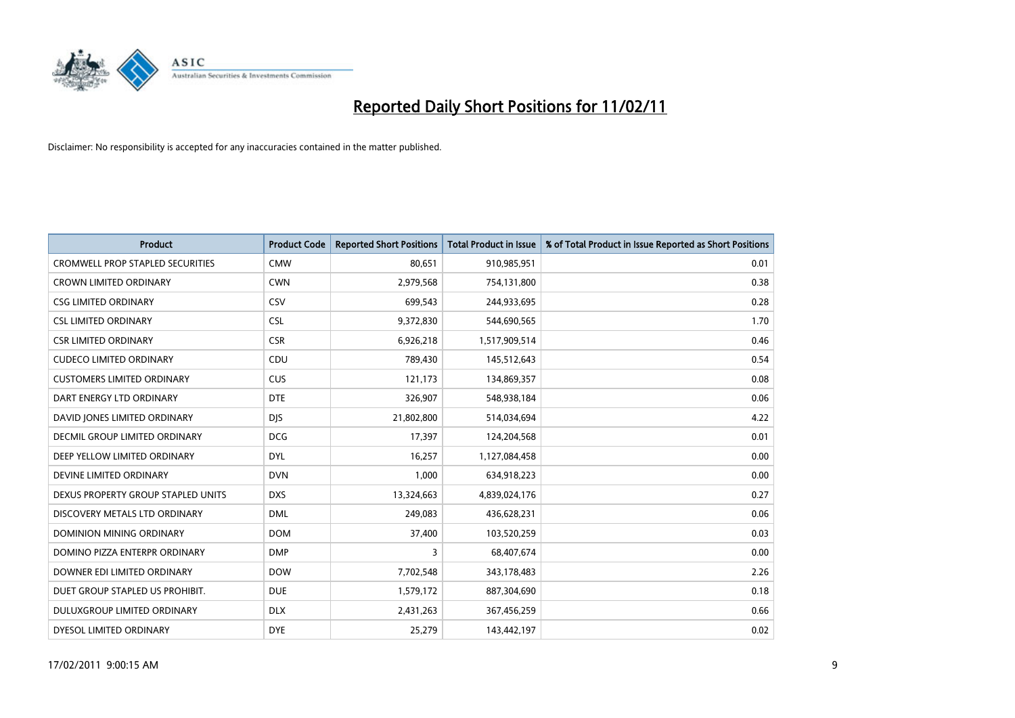

| <b>Product</b>                          | <b>Product Code</b> | <b>Reported Short Positions</b> | <b>Total Product in Issue</b> | % of Total Product in Issue Reported as Short Positions |
|-----------------------------------------|---------------------|---------------------------------|-------------------------------|---------------------------------------------------------|
| <b>CROMWELL PROP STAPLED SECURITIES</b> | <b>CMW</b>          | 80,651                          | 910,985,951                   | 0.01                                                    |
| <b>CROWN LIMITED ORDINARY</b>           | <b>CWN</b>          | 2,979,568                       | 754,131,800                   | 0.38                                                    |
| <b>CSG LIMITED ORDINARY</b>             | CSV                 | 699,543                         | 244,933,695                   | 0.28                                                    |
| <b>CSL LIMITED ORDINARY</b>             | <b>CSL</b>          | 9,372,830                       | 544,690,565                   | 1.70                                                    |
| <b>CSR LIMITED ORDINARY</b>             | <b>CSR</b>          | 6,926,218                       | 1,517,909,514                 | 0.46                                                    |
| <b>CUDECO LIMITED ORDINARY</b>          | CDU                 | 789,430                         | 145,512,643                   | 0.54                                                    |
| <b>CUSTOMERS LIMITED ORDINARY</b>       | <b>CUS</b>          | 121,173                         | 134,869,357                   | 0.08                                                    |
| DART ENERGY LTD ORDINARY                | <b>DTE</b>          | 326,907                         | 548,938,184                   | 0.06                                                    |
| DAVID JONES LIMITED ORDINARY            | <b>DIS</b>          | 21,802,800                      | 514,034,694                   | 4.22                                                    |
| DECMIL GROUP LIMITED ORDINARY           | <b>DCG</b>          | 17,397                          | 124,204,568                   | 0.01                                                    |
| DEEP YELLOW LIMITED ORDINARY            | <b>DYL</b>          | 16,257                          | 1,127,084,458                 | 0.00                                                    |
| DEVINE LIMITED ORDINARY                 | <b>DVN</b>          | 1,000                           | 634,918,223                   | 0.00                                                    |
| DEXUS PROPERTY GROUP STAPLED UNITS      | <b>DXS</b>          | 13,324,663                      | 4,839,024,176                 | 0.27                                                    |
| DISCOVERY METALS LTD ORDINARY           | <b>DML</b>          | 249,083                         | 436,628,231                   | 0.06                                                    |
| DOMINION MINING ORDINARY                | <b>DOM</b>          | 37,400                          | 103,520,259                   | 0.03                                                    |
| DOMINO PIZZA ENTERPR ORDINARY           | <b>DMP</b>          | 3                               | 68,407,674                    | 0.00                                                    |
| DOWNER EDI LIMITED ORDINARY             | <b>DOW</b>          | 7,702,548                       | 343,178,483                   | 2.26                                                    |
| DUET GROUP STAPLED US PROHIBIT.         | <b>DUE</b>          | 1,579,172                       | 887,304,690                   | 0.18                                                    |
| DULUXGROUP LIMITED ORDINARY             | <b>DLX</b>          | 2,431,263                       | 367,456,259                   | 0.66                                                    |
| DYESOL LIMITED ORDINARY                 | <b>DYE</b>          | 25,279                          | 143,442,197                   | 0.02                                                    |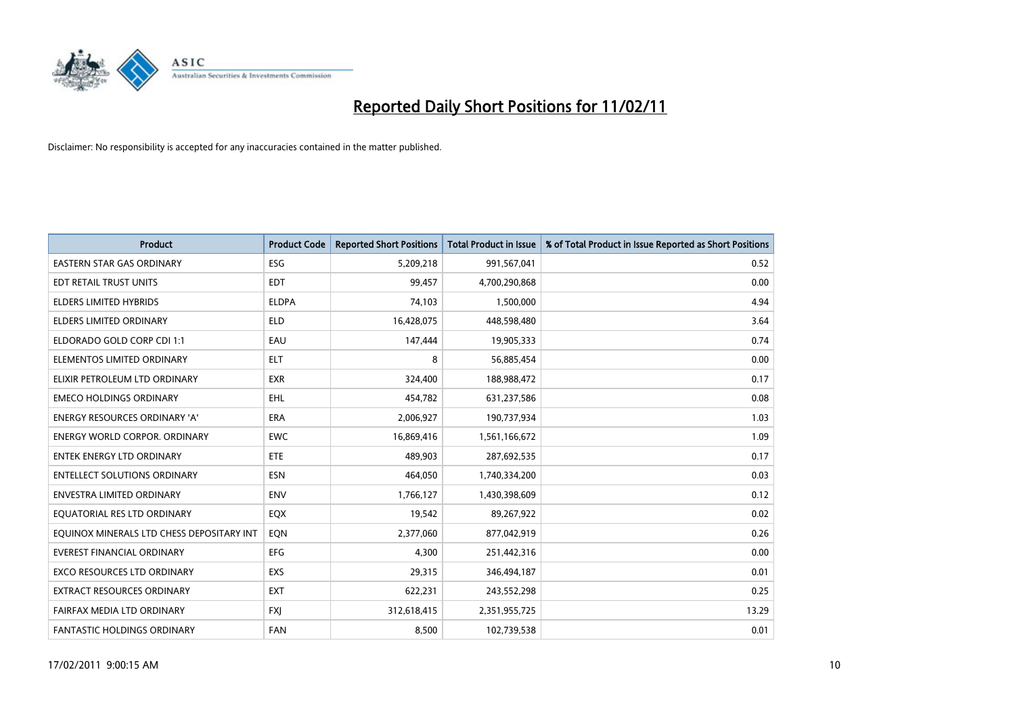

| <b>Product</b>                            | <b>Product Code</b> | <b>Reported Short Positions</b> | Total Product in Issue | % of Total Product in Issue Reported as Short Positions |
|-------------------------------------------|---------------------|---------------------------------|------------------------|---------------------------------------------------------|
| <b>EASTERN STAR GAS ORDINARY</b>          | <b>ESG</b>          | 5,209,218                       | 991,567,041            | 0.52                                                    |
| EDT RETAIL TRUST UNITS                    | <b>EDT</b>          | 99,457                          | 4,700,290,868          | 0.00                                                    |
| <b>ELDERS LIMITED HYBRIDS</b>             | <b>ELDPA</b>        | 74,103                          | 1,500,000              | 4.94                                                    |
| <b>ELDERS LIMITED ORDINARY</b>            | <b>ELD</b>          | 16,428,075                      | 448,598,480            | 3.64                                                    |
| ELDORADO GOLD CORP CDI 1:1                | EAU                 | 147,444                         | 19,905,333             | 0.74                                                    |
| ELEMENTOS LIMITED ORDINARY                | <b>ELT</b>          | 8                               | 56,885,454             | 0.00                                                    |
| ELIXIR PETROLEUM LTD ORDINARY             | <b>EXR</b>          | 324,400                         | 188,988,472            | 0.17                                                    |
| <b>EMECO HOLDINGS ORDINARY</b>            | <b>EHL</b>          | 454,782                         | 631,237,586            | 0.08                                                    |
| ENERGY RESOURCES ORDINARY 'A'             | <b>ERA</b>          | 2,006,927                       | 190,737,934            | 1.03                                                    |
| <b>ENERGY WORLD CORPOR, ORDINARY</b>      | <b>EWC</b>          | 16,869,416                      | 1,561,166,672          | 1.09                                                    |
| ENTEK ENERGY LTD ORDINARY                 | ETE                 | 489,903                         | 287,692,535            | 0.17                                                    |
| <b>ENTELLECT SOLUTIONS ORDINARY</b>       | <b>ESN</b>          | 464,050                         | 1,740,334,200          | 0.03                                                    |
| <b>ENVESTRA LIMITED ORDINARY</b>          | <b>ENV</b>          | 1,766,127                       | 1,430,398,609          | 0.12                                                    |
| EQUATORIAL RES LTD ORDINARY               | EQX                 | 19,542                          | 89,267,922             | 0.02                                                    |
| EQUINOX MINERALS LTD CHESS DEPOSITARY INT | EON                 | 2,377,060                       | 877,042,919            | 0.26                                                    |
| <b>EVEREST FINANCIAL ORDINARY</b>         | EFG                 | 4,300                           | 251,442,316            | 0.00                                                    |
| EXCO RESOURCES LTD ORDINARY               | EXS                 | 29,315                          | 346,494,187            | 0.01                                                    |
| EXTRACT RESOURCES ORDINARY                | <b>EXT</b>          | 622,231                         | 243,552,298            | 0.25                                                    |
| FAIRFAX MEDIA LTD ORDINARY                | <b>FXI</b>          | 312,618,415                     | 2,351,955,725          | 13.29                                                   |
| FANTASTIC HOLDINGS ORDINARY               | <b>FAN</b>          | 8,500                           | 102,739,538            | 0.01                                                    |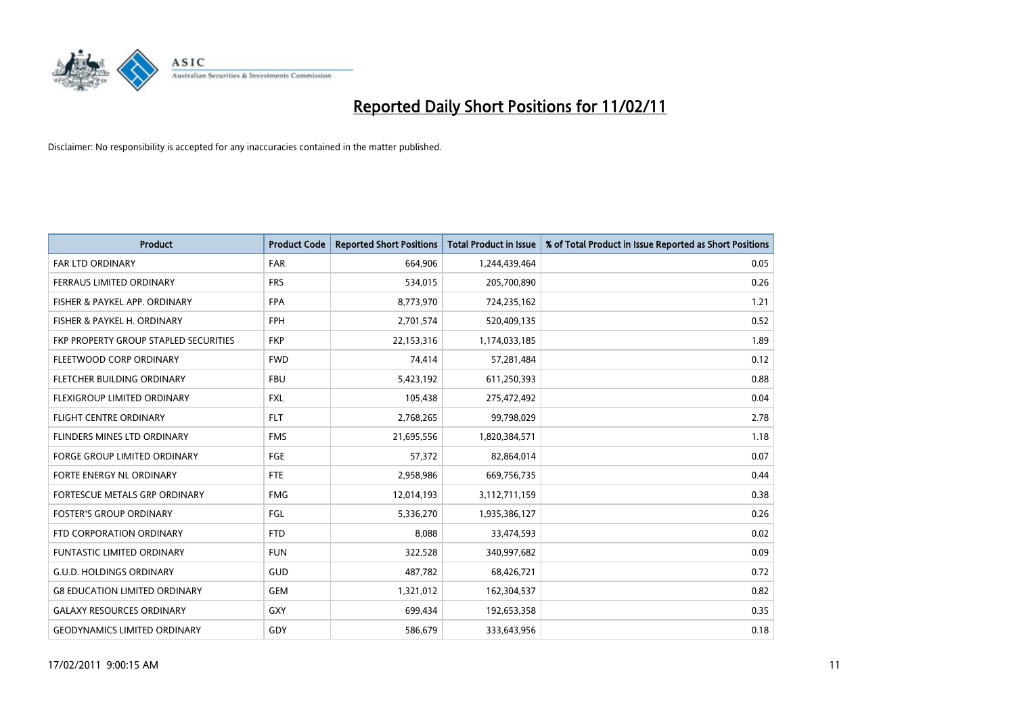

| <b>Product</b>                        | <b>Product Code</b> | <b>Reported Short Positions</b> | Total Product in Issue | % of Total Product in Issue Reported as Short Positions |
|---------------------------------------|---------------------|---------------------------------|------------------------|---------------------------------------------------------|
| <b>FAR LTD ORDINARY</b>               | <b>FAR</b>          | 664,906                         | 1,244,439,464          | 0.05                                                    |
| FERRAUS LIMITED ORDINARY              | <b>FRS</b>          | 534,015                         | 205,700,890            | 0.26                                                    |
| FISHER & PAYKEL APP. ORDINARY         | <b>FPA</b>          | 8,773,970                       | 724,235,162            | 1.21                                                    |
| FISHER & PAYKEL H. ORDINARY           | <b>FPH</b>          | 2,701,574                       | 520,409,135            | 0.52                                                    |
| FKP PROPERTY GROUP STAPLED SECURITIES | <b>FKP</b>          | 22,153,316                      | 1,174,033,185          | 1.89                                                    |
| FLEETWOOD CORP ORDINARY               | <b>FWD</b>          | 74,414                          | 57,281,484             | 0.12                                                    |
| FLETCHER BUILDING ORDINARY            | <b>FBU</b>          | 5,423,192                       | 611,250,393            | 0.88                                                    |
| FLEXIGROUP LIMITED ORDINARY           | <b>FXL</b>          | 105,438                         | 275,472,492            | 0.04                                                    |
| <b>FLIGHT CENTRE ORDINARY</b>         | <b>FLT</b>          | 2,768,265                       | 99,798,029             | 2.78                                                    |
| FLINDERS MINES LTD ORDINARY           | <b>FMS</b>          | 21,695,556                      | 1,820,384,571          | 1.18                                                    |
| FORGE GROUP LIMITED ORDINARY          | FGE                 | 57,372                          | 82,864,014             | 0.07                                                    |
| FORTE ENERGY NL ORDINARY              | <b>FTE</b>          | 2,958,986                       | 669,756,735            | 0.44                                                    |
| FORTESCUE METALS GRP ORDINARY         | <b>FMG</b>          | 12,014,193                      | 3,112,711,159          | 0.38                                                    |
| <b>FOSTER'S GROUP ORDINARY</b>        | FGL                 | 5,336,270                       | 1,935,386,127          | 0.26                                                    |
| FTD CORPORATION ORDINARY              | <b>FTD</b>          | 8,088                           | 33,474,593             | 0.02                                                    |
| <b>FUNTASTIC LIMITED ORDINARY</b>     | <b>FUN</b>          | 322,528                         | 340,997,682            | 0.09                                                    |
| <b>G.U.D. HOLDINGS ORDINARY</b>       | GUD                 | 487,782                         | 68,426,721             | 0.72                                                    |
| <b>G8 EDUCATION LIMITED ORDINARY</b>  | <b>GEM</b>          | 1,321,012                       | 162,304,537            | 0.82                                                    |
| <b>GALAXY RESOURCES ORDINARY</b>      | GXY                 | 699,434                         | 192,653,358            | 0.35                                                    |
| <b>GEODYNAMICS LIMITED ORDINARY</b>   | GDY                 | 586,679                         | 333,643,956            | 0.18                                                    |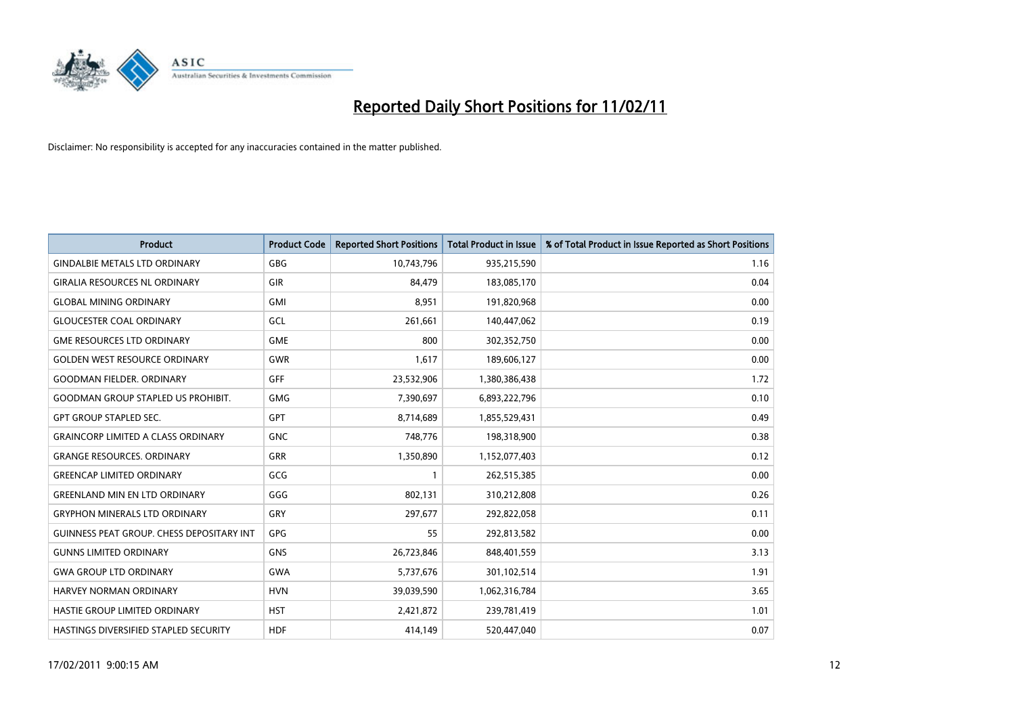

| <b>Product</b>                                   | <b>Product Code</b> | <b>Reported Short Positions</b> | <b>Total Product in Issue</b> | % of Total Product in Issue Reported as Short Positions |
|--------------------------------------------------|---------------------|---------------------------------|-------------------------------|---------------------------------------------------------|
| <b>GINDALBIE METALS LTD ORDINARY</b>             | <b>GBG</b>          | 10,743,796                      | 935,215,590                   | 1.16                                                    |
| <b>GIRALIA RESOURCES NL ORDINARY</b>             | GIR                 | 84,479                          | 183,085,170                   | 0.04                                                    |
| <b>GLOBAL MINING ORDINARY</b>                    | <b>GMI</b>          | 8,951                           | 191,820,968                   | 0.00                                                    |
| <b>GLOUCESTER COAL ORDINARY</b>                  | GCL                 | 261,661                         | 140,447,062                   | 0.19                                                    |
| <b>GME RESOURCES LTD ORDINARY</b>                | <b>GME</b>          | 800                             | 302,352,750                   | 0.00                                                    |
| <b>GOLDEN WEST RESOURCE ORDINARY</b>             | <b>GWR</b>          | 1,617                           | 189,606,127                   | 0.00                                                    |
| <b>GOODMAN FIELDER, ORDINARY</b>                 | <b>GFF</b>          | 23,532,906                      | 1,380,386,438                 | 1.72                                                    |
| <b>GOODMAN GROUP STAPLED US PROHIBIT.</b>        | <b>GMG</b>          | 7,390,697                       | 6,893,222,796                 | 0.10                                                    |
| <b>GPT GROUP STAPLED SEC.</b>                    | <b>GPT</b>          | 8,714,689                       | 1,855,529,431                 | 0.49                                                    |
| <b>GRAINCORP LIMITED A CLASS ORDINARY</b>        | <b>GNC</b>          | 748,776                         | 198,318,900                   | 0.38                                                    |
| <b>GRANGE RESOURCES. ORDINARY</b>                | <b>GRR</b>          | 1,350,890                       | 1,152,077,403                 | 0.12                                                    |
| <b>GREENCAP LIMITED ORDINARY</b>                 | GCG                 |                                 | 262,515,385                   | 0.00                                                    |
| <b>GREENLAND MIN EN LTD ORDINARY</b>             | GGG                 | 802,131                         | 310,212,808                   | 0.26                                                    |
| <b>GRYPHON MINERALS LTD ORDINARY</b>             | GRY                 | 297,677                         | 292,822,058                   | 0.11                                                    |
| <b>GUINNESS PEAT GROUP. CHESS DEPOSITARY INT</b> | GPG                 | 55                              | 292,813,582                   | 0.00                                                    |
| <b>GUNNS LIMITED ORDINARY</b>                    | <b>GNS</b>          | 26,723,846                      | 848,401,559                   | 3.13                                                    |
| <b>GWA GROUP LTD ORDINARY</b>                    | <b>GWA</b>          | 5,737,676                       | 301,102,514                   | 1.91                                                    |
| <b>HARVEY NORMAN ORDINARY</b>                    | <b>HVN</b>          | 39,039,590                      | 1,062,316,784                 | 3.65                                                    |
| HASTIE GROUP LIMITED ORDINARY                    | <b>HST</b>          | 2,421,872                       | 239,781,419                   | 1.01                                                    |
| HASTINGS DIVERSIFIED STAPLED SECURITY            | <b>HDF</b>          | 414,149                         | 520,447,040                   | 0.07                                                    |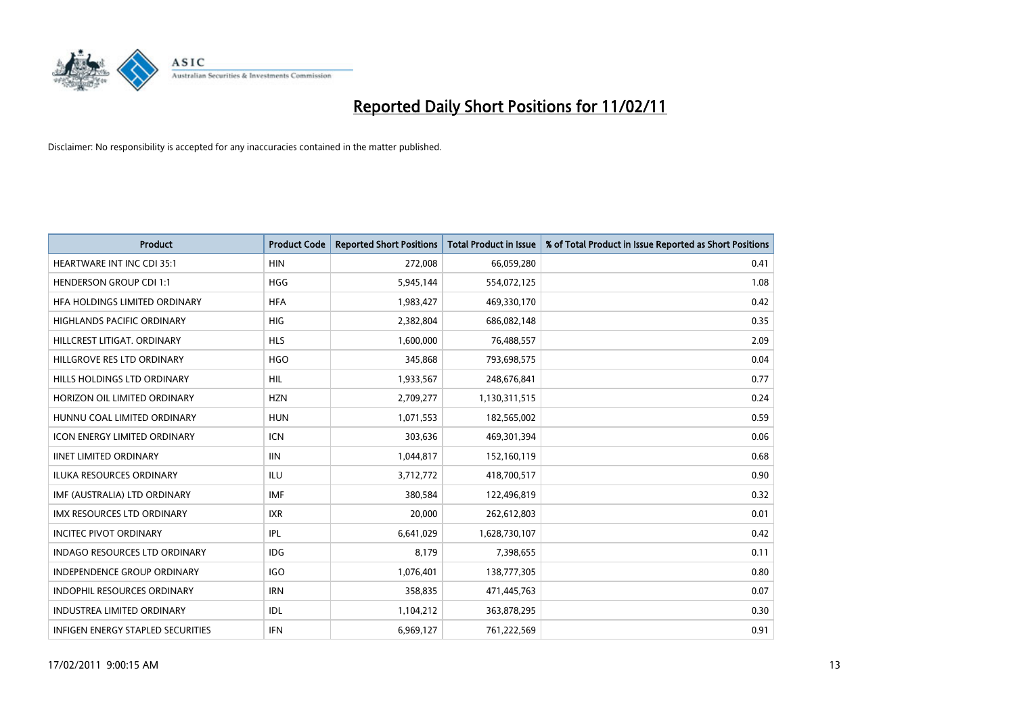

| Product                              | <b>Product Code</b> | <b>Reported Short Positions</b> | Total Product in Issue | % of Total Product in Issue Reported as Short Positions |
|--------------------------------------|---------------------|---------------------------------|------------------------|---------------------------------------------------------|
| <b>HEARTWARE INT INC CDI 35:1</b>    | <b>HIN</b>          | 272,008                         | 66,059,280             | 0.41                                                    |
| <b>HENDERSON GROUP CDI 1:1</b>       | <b>HGG</b>          | 5,945,144                       | 554,072,125            | 1.08                                                    |
| HFA HOLDINGS LIMITED ORDINARY        | <b>HFA</b>          | 1,983,427                       | 469,330,170            | 0.42                                                    |
| HIGHLANDS PACIFIC ORDINARY           | <b>HIG</b>          | 2,382,804                       | 686,082,148            | 0.35                                                    |
| HILLCREST LITIGAT, ORDINARY          | <b>HLS</b>          | 1,600,000                       | 76,488,557             | 2.09                                                    |
| HILLGROVE RES LTD ORDINARY           | <b>HGO</b>          | 345,868                         | 793,698,575            | 0.04                                                    |
| HILLS HOLDINGS LTD ORDINARY          | <b>HIL</b>          | 1,933,567                       | 248,676,841            | 0.77                                                    |
| HORIZON OIL LIMITED ORDINARY         | <b>HZN</b>          | 2,709,277                       | 1,130,311,515          | 0.24                                                    |
| HUNNU COAL LIMITED ORDINARY          | <b>HUN</b>          | 1,071,553                       | 182,565,002            | 0.59                                                    |
| <b>ICON ENERGY LIMITED ORDINARY</b>  | <b>ICN</b>          | 303,636                         | 469,301,394            | 0.06                                                    |
| <b>IINET LIMITED ORDINARY</b>        | <b>IIN</b>          | 1,044,817                       | 152,160,119            | 0.68                                                    |
| ILUKA RESOURCES ORDINARY             | ILU                 | 3,712,772                       | 418,700,517            | 0.90                                                    |
| IMF (AUSTRALIA) LTD ORDINARY         | <b>IMF</b>          | 380,584                         | 122,496,819            | 0.32                                                    |
| <b>IMX RESOURCES LTD ORDINARY</b>    | <b>IXR</b>          | 20,000                          | 262,612,803            | 0.01                                                    |
| <b>INCITEC PIVOT ORDINARY</b>        | IPL                 | 6,641,029                       | 1,628,730,107          | 0.42                                                    |
| <b>INDAGO RESOURCES LTD ORDINARY</b> | <b>IDG</b>          | 8,179                           | 7,398,655              | 0.11                                                    |
| <b>INDEPENDENCE GROUP ORDINARY</b>   | <b>IGO</b>          | 1,076,401                       | 138,777,305            | 0.80                                                    |
| INDOPHIL RESOURCES ORDINARY          | <b>IRN</b>          | 358,835                         | 471,445,763            | 0.07                                                    |
| <b>INDUSTREA LIMITED ORDINARY</b>    | IDL                 | 1,104,212                       | 363,878,295            | 0.30                                                    |
| INFIGEN ENERGY STAPLED SECURITIES    | <b>IFN</b>          | 6,969,127                       | 761,222,569            | 0.91                                                    |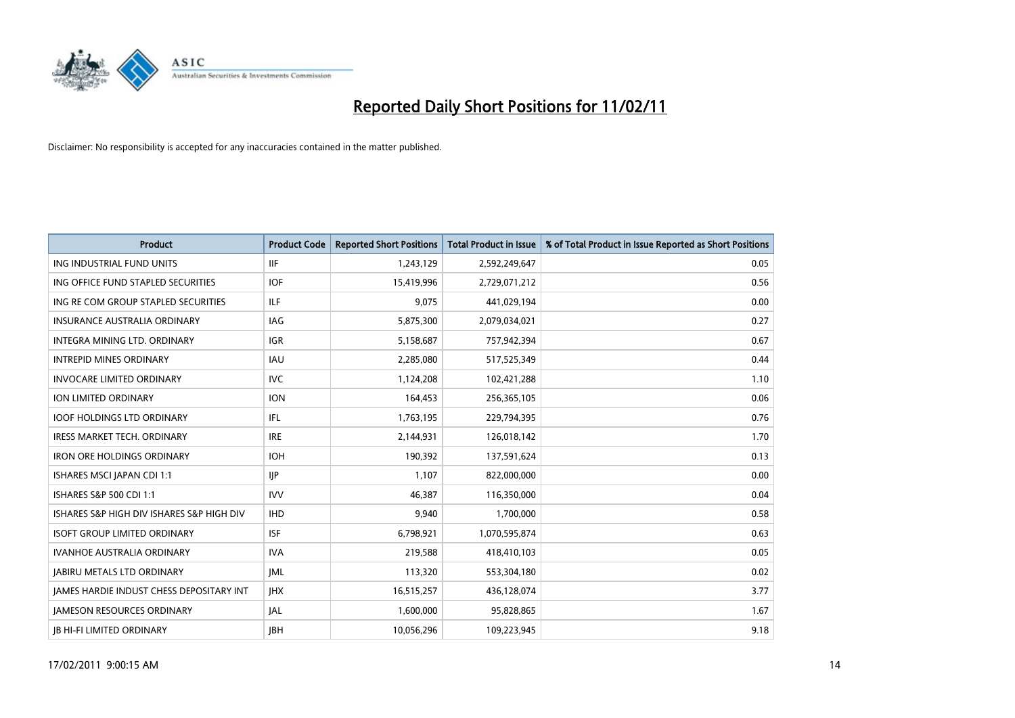

| <b>Product</b>                            | <b>Product Code</b> | <b>Reported Short Positions</b> | Total Product in Issue | % of Total Product in Issue Reported as Short Positions |
|-------------------------------------------|---------------------|---------------------------------|------------------------|---------------------------------------------------------|
| ING INDUSTRIAL FUND UNITS                 | <b>IIF</b>          | 1,243,129                       | 2,592,249,647          | 0.05                                                    |
| ING OFFICE FUND STAPLED SECURITIES        | <b>IOF</b>          | 15,419,996                      | 2,729,071,212          | 0.56                                                    |
| ING RE COM GROUP STAPLED SECURITIES       | ILF                 | 9,075                           | 441,029,194            | 0.00                                                    |
| INSURANCE AUSTRALIA ORDINARY              | IAG                 | 5,875,300                       | 2,079,034,021          | 0.27                                                    |
| <b>INTEGRA MINING LTD, ORDINARY</b>       | <b>IGR</b>          | 5,158,687                       | 757,942,394            | 0.67                                                    |
| <b>INTREPID MINES ORDINARY</b>            | <b>IAU</b>          | 2,285,080                       | 517,525,349            | 0.44                                                    |
| <b>INVOCARE LIMITED ORDINARY</b>          | <b>IVC</b>          | 1,124,208                       | 102,421,288            | 1.10                                                    |
| ION LIMITED ORDINARY                      | <b>ION</b>          | 164,453                         | 256,365,105            | 0.06                                                    |
| <b>IOOF HOLDINGS LTD ORDINARY</b>         | <b>IFL</b>          | 1,763,195                       | 229,794,395            | 0.76                                                    |
| <b>IRESS MARKET TECH. ORDINARY</b>        | <b>IRE</b>          | 2,144,931                       | 126,018,142            | 1.70                                                    |
| <b>IRON ORE HOLDINGS ORDINARY</b>         | <b>IOH</b>          | 190,392                         | 137,591,624            | 0.13                                                    |
| ISHARES MSCI JAPAN CDI 1:1                | <b>IIP</b>          | 1,107                           | 822,000,000            | 0.00                                                    |
| ISHARES S&P 500 CDI 1:1                   | <b>IVV</b>          | 46,387                          | 116,350,000            | 0.04                                                    |
| ISHARES S&P HIGH DIV ISHARES S&P HIGH DIV | <b>IHD</b>          | 9,940                           | 1,700,000              | 0.58                                                    |
| <b>ISOFT GROUP LIMITED ORDINARY</b>       | <b>ISF</b>          | 6,798,921                       | 1,070,595,874          | 0.63                                                    |
| <b>IVANHOE AUSTRALIA ORDINARY</b>         | <b>IVA</b>          | 219,588                         | 418,410,103            | 0.05                                                    |
| <b>JABIRU METALS LTD ORDINARY</b>         | <b>JML</b>          | 113,320                         | 553,304,180            | 0.02                                                    |
| JAMES HARDIE INDUST CHESS DEPOSITARY INT  | <b>IHX</b>          | 16,515,257                      | 436,128,074            | 3.77                                                    |
| <b>IAMESON RESOURCES ORDINARY</b>         | <b>JAL</b>          | 1,600,000                       | 95,828,865             | 1.67                                                    |
| <b>IB HI-FI LIMITED ORDINARY</b>          | <b>IBH</b>          | 10,056,296                      | 109,223,945            | 9.18                                                    |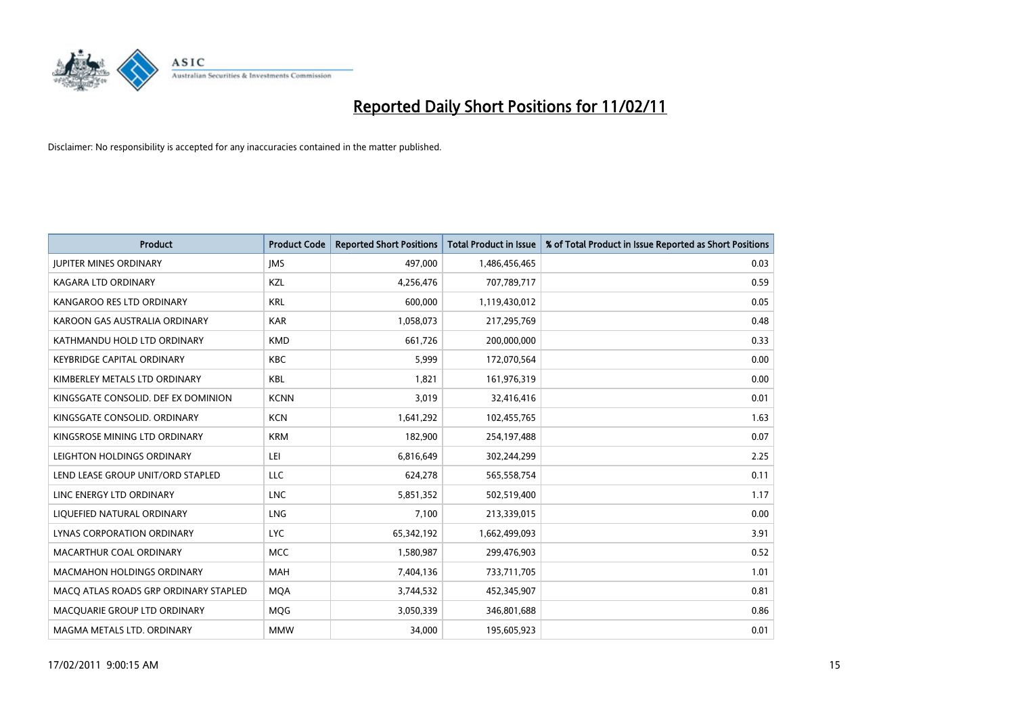

| Product                               | <b>Product Code</b> | <b>Reported Short Positions</b> | <b>Total Product in Issue</b> | % of Total Product in Issue Reported as Short Positions |
|---------------------------------------|---------------------|---------------------------------|-------------------------------|---------------------------------------------------------|
| <b>JUPITER MINES ORDINARY</b>         | <b>IMS</b>          | 497,000                         | 1,486,456,465                 | 0.03                                                    |
| KAGARA LTD ORDINARY                   | KZL                 | 4,256,476                       | 707,789,717                   | 0.59                                                    |
| KANGAROO RES LTD ORDINARY             | <b>KRL</b>          | 600,000                         | 1,119,430,012                 | 0.05                                                    |
| KAROON GAS AUSTRALIA ORDINARY         | <b>KAR</b>          | 1,058,073                       | 217,295,769                   | 0.48                                                    |
| KATHMANDU HOLD LTD ORDINARY           | <b>KMD</b>          | 661,726                         | 200,000,000                   | 0.33                                                    |
| <b>KEYBRIDGE CAPITAL ORDINARY</b>     | <b>KBC</b>          | 5,999                           | 172,070,564                   | 0.00                                                    |
| KIMBERLEY METALS LTD ORDINARY         | KBL                 | 1,821                           | 161,976,319                   | 0.00                                                    |
| KINGSGATE CONSOLID. DEF EX DOMINION   | <b>KCNN</b>         | 3,019                           | 32,416,416                    | 0.01                                                    |
| KINGSGATE CONSOLID. ORDINARY          | <b>KCN</b>          | 1,641,292                       | 102,455,765                   | 1.63                                                    |
| KINGSROSE MINING LTD ORDINARY         | <b>KRM</b>          | 182,900                         | 254,197,488                   | 0.07                                                    |
| LEIGHTON HOLDINGS ORDINARY            | LEI                 | 6,816,649                       | 302,244,299                   | 2.25                                                    |
| LEND LEASE GROUP UNIT/ORD STAPLED     | LLC                 | 624,278                         | 565,558,754                   | 0.11                                                    |
| LINC ENERGY LTD ORDINARY              | <b>LNC</b>          | 5,851,352                       | 502,519,400                   | 1.17                                                    |
| LIQUEFIED NATURAL ORDINARY            | <b>LNG</b>          | 7,100                           | 213,339,015                   | 0.00                                                    |
| LYNAS CORPORATION ORDINARY            | <b>LYC</b>          | 65,342,192                      | 1,662,499,093                 | 3.91                                                    |
| MACARTHUR COAL ORDINARY               | <b>MCC</b>          | 1,580,987                       | 299,476,903                   | 0.52                                                    |
| <b>MACMAHON HOLDINGS ORDINARY</b>     | <b>MAH</b>          | 7,404,136                       | 733,711,705                   | 1.01                                                    |
| MACQ ATLAS ROADS GRP ORDINARY STAPLED | <b>MQA</b>          | 3,744,532                       | 452,345,907                   | 0.81                                                    |
| MACQUARIE GROUP LTD ORDINARY          | <b>MOG</b>          | 3,050,339                       | 346,801,688                   | 0.86                                                    |
| MAGMA METALS LTD. ORDINARY            | <b>MMW</b>          | 34,000                          | 195,605,923                   | 0.01                                                    |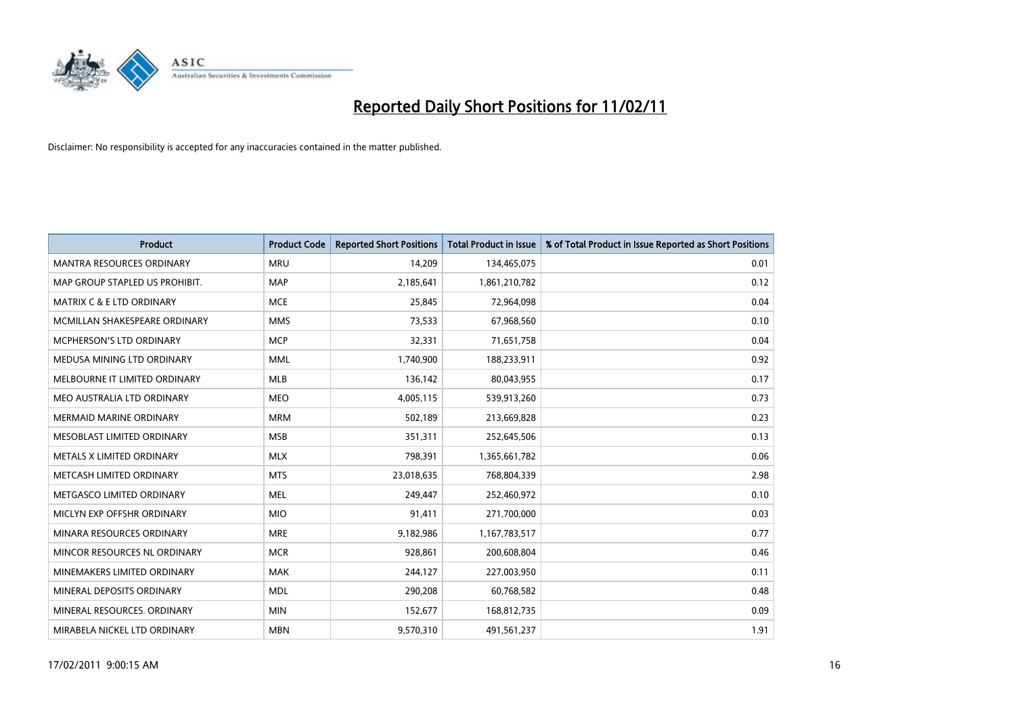

| Product                              | <b>Product Code</b> | <b>Reported Short Positions</b> | <b>Total Product in Issue</b> | % of Total Product in Issue Reported as Short Positions |
|--------------------------------------|---------------------|---------------------------------|-------------------------------|---------------------------------------------------------|
| <b>MANTRA RESOURCES ORDINARY</b>     | <b>MRU</b>          | 14,209                          | 134,465,075                   | 0.01                                                    |
| MAP GROUP STAPLED US PROHIBIT.       | <b>MAP</b>          | 2,185,641                       | 1,861,210,782                 | 0.12                                                    |
| <b>MATRIX C &amp; E LTD ORDINARY</b> | <b>MCE</b>          | 25,845                          | 72,964,098                    | 0.04                                                    |
| MCMILLAN SHAKESPEARE ORDINARY        | <b>MMS</b>          | 73,533                          | 67,968,560                    | 0.10                                                    |
| <b>MCPHERSON'S LTD ORDINARY</b>      | <b>MCP</b>          | 32,331                          | 71,651,758                    | 0.04                                                    |
| MEDUSA MINING LTD ORDINARY           | <b>MML</b>          | 1,740,900                       | 188,233,911                   | 0.92                                                    |
| MELBOURNE IT LIMITED ORDINARY        | <b>MLB</b>          | 136,142                         | 80,043,955                    | 0.17                                                    |
| MEO AUSTRALIA LTD ORDINARY           | <b>MEO</b>          | 4,005,115                       | 539,913,260                   | 0.73                                                    |
| MERMAID MARINE ORDINARY              | <b>MRM</b>          | 502,189                         | 213,669,828                   | 0.23                                                    |
| MESOBLAST LIMITED ORDINARY           | <b>MSB</b>          | 351,311                         | 252,645,506                   | 0.13                                                    |
| METALS X LIMITED ORDINARY            | <b>MLX</b>          | 798,391                         | 1,365,661,782                 | 0.06                                                    |
| METCASH LIMITED ORDINARY             | <b>MTS</b>          | 23,018,635                      | 768,804,339                   | 2.98                                                    |
| METGASCO LIMITED ORDINARY            | <b>MEL</b>          | 249,447                         | 252,460,972                   | 0.10                                                    |
| MICLYN EXP OFFSHR ORDINARY           | <b>MIO</b>          | 91,411                          | 271,700,000                   | 0.03                                                    |
| MINARA RESOURCES ORDINARY            | <b>MRE</b>          | 9,182,986                       | 1,167,783,517                 | 0.77                                                    |
| MINCOR RESOURCES NL ORDINARY         | <b>MCR</b>          | 928,861                         | 200,608,804                   | 0.46                                                    |
| MINEMAKERS LIMITED ORDINARY          | <b>MAK</b>          | 244,127                         | 227,003,950                   | 0.11                                                    |
| MINERAL DEPOSITS ORDINARY            | <b>MDL</b>          | 290,208                         | 60,768,582                    | 0.48                                                    |
| MINERAL RESOURCES, ORDINARY          | <b>MIN</b>          | 152,677                         | 168,812,735                   | 0.09                                                    |
| MIRABELA NICKEL LTD ORDINARY         | <b>MBN</b>          | 9,570,310                       | 491,561,237                   | 1.91                                                    |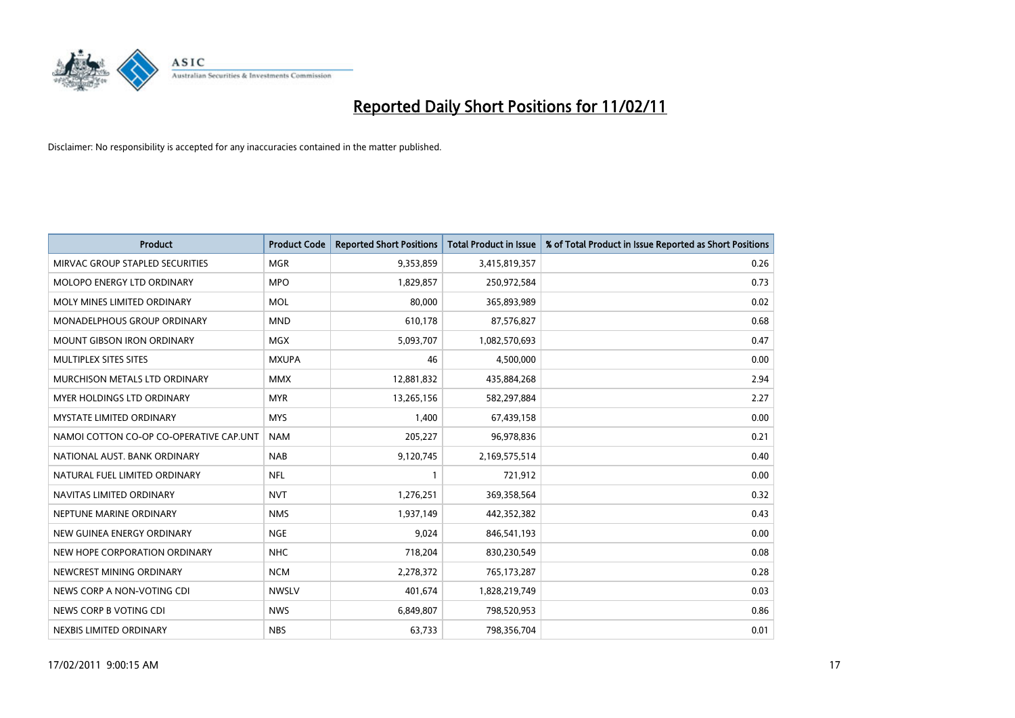

| Product                                 | <b>Product Code</b> | <b>Reported Short Positions</b> | <b>Total Product in Issue</b> | % of Total Product in Issue Reported as Short Positions |
|-----------------------------------------|---------------------|---------------------------------|-------------------------------|---------------------------------------------------------|
| MIRVAC GROUP STAPLED SECURITIES         | <b>MGR</b>          | 9,353,859                       | 3,415,819,357                 | 0.26                                                    |
| <b>MOLOPO ENERGY LTD ORDINARY</b>       | <b>MPO</b>          | 1,829,857                       | 250,972,584                   | 0.73                                                    |
| MOLY MINES LIMITED ORDINARY             | <b>MOL</b>          | 80,000                          | 365,893,989                   | 0.02                                                    |
| MONADELPHOUS GROUP ORDINARY             | <b>MND</b>          | 610,178                         | 87,576,827                    | 0.68                                                    |
| <b>MOUNT GIBSON IRON ORDINARY</b>       | <b>MGX</b>          | 5,093,707                       | 1,082,570,693                 | 0.47                                                    |
| MULTIPLEX SITES SITES                   | <b>MXUPA</b>        | 46                              | 4,500,000                     | 0.00                                                    |
| MURCHISON METALS LTD ORDINARY           | <b>MMX</b>          | 12,881,832                      | 435,884,268                   | 2.94                                                    |
| <b>MYER HOLDINGS LTD ORDINARY</b>       | <b>MYR</b>          | 13,265,156                      | 582,297,884                   | 2.27                                                    |
| <b>MYSTATE LIMITED ORDINARY</b>         | <b>MYS</b>          | 1,400                           | 67,439,158                    | 0.00                                                    |
| NAMOI COTTON CO-OP CO-OPERATIVE CAP.UNT | <b>NAM</b>          | 205,227                         | 96,978,836                    | 0.21                                                    |
| NATIONAL AUST, BANK ORDINARY            | <b>NAB</b>          | 9,120,745                       | 2,169,575,514                 | 0.40                                                    |
| NATURAL FUEL LIMITED ORDINARY           | <b>NFL</b>          |                                 | 721,912                       | 0.00                                                    |
| NAVITAS LIMITED ORDINARY                | <b>NVT</b>          | 1,276,251                       | 369,358,564                   | 0.32                                                    |
| NEPTUNE MARINE ORDINARY                 | <b>NMS</b>          | 1,937,149                       | 442,352,382                   | 0.43                                                    |
| NEW GUINEA ENERGY ORDINARY              | <b>NGE</b>          | 9,024                           | 846,541,193                   | 0.00                                                    |
| NEW HOPE CORPORATION ORDINARY           | <b>NHC</b>          | 718,204                         | 830,230,549                   | 0.08                                                    |
| NEWCREST MINING ORDINARY                | <b>NCM</b>          | 2,278,372                       | 765,173,287                   | 0.28                                                    |
| NEWS CORP A NON-VOTING CDI              | <b>NWSLV</b>        | 401,674                         | 1,828,219,749                 | 0.03                                                    |
| NEWS CORP B VOTING CDI                  | <b>NWS</b>          | 6,849,807                       | 798,520,953                   | 0.86                                                    |
| NEXBIS LIMITED ORDINARY                 | <b>NBS</b>          | 63,733                          | 798,356,704                   | 0.01                                                    |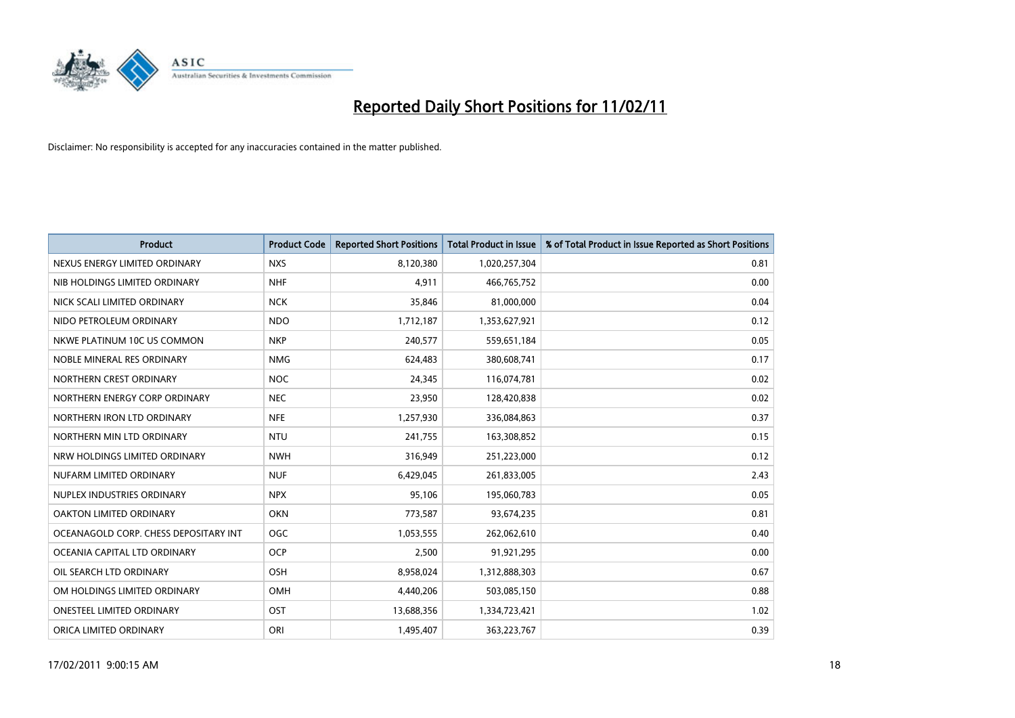

| <b>Product</b>                        | <b>Product Code</b> | <b>Reported Short Positions</b> | <b>Total Product in Issue</b> | % of Total Product in Issue Reported as Short Positions |
|---------------------------------------|---------------------|---------------------------------|-------------------------------|---------------------------------------------------------|
| NEXUS ENERGY LIMITED ORDINARY         | <b>NXS</b>          | 8,120,380                       | 1,020,257,304                 | 0.81                                                    |
| NIB HOLDINGS LIMITED ORDINARY         | <b>NHF</b>          | 4,911                           | 466,765,752                   | 0.00                                                    |
| NICK SCALI LIMITED ORDINARY           | <b>NCK</b>          | 35,846                          | 81,000,000                    | 0.04                                                    |
| NIDO PETROLEUM ORDINARY               | <b>NDO</b>          | 1,712,187                       | 1,353,627,921                 | 0.12                                                    |
| NKWE PLATINUM 10C US COMMON           | <b>NKP</b>          | 240,577                         | 559,651,184                   | 0.05                                                    |
| NOBLE MINERAL RES ORDINARY            | <b>NMG</b>          | 624,483                         | 380,608,741                   | 0.17                                                    |
| NORTHERN CREST ORDINARY               | <b>NOC</b>          | 24,345                          | 116,074,781                   | 0.02                                                    |
| NORTHERN ENERGY CORP ORDINARY         | <b>NEC</b>          | 23,950                          | 128,420,838                   | 0.02                                                    |
| NORTHERN IRON LTD ORDINARY            | <b>NFE</b>          | 1,257,930                       | 336,084,863                   | 0.37                                                    |
| NORTHERN MIN LTD ORDINARY             | <b>NTU</b>          | 241,755                         | 163,308,852                   | 0.15                                                    |
| NRW HOLDINGS LIMITED ORDINARY         | <b>NWH</b>          | 316,949                         | 251,223,000                   | 0.12                                                    |
| NUFARM LIMITED ORDINARY               | <b>NUF</b>          | 6,429,045                       | 261,833,005                   | 2.43                                                    |
| NUPLEX INDUSTRIES ORDINARY            | <b>NPX</b>          | 95,106                          | 195,060,783                   | 0.05                                                    |
| OAKTON LIMITED ORDINARY               | <b>OKN</b>          | 773,587                         | 93,674,235                    | 0.81                                                    |
| OCEANAGOLD CORP. CHESS DEPOSITARY INT | <b>OGC</b>          | 1,053,555                       | 262,062,610                   | 0.40                                                    |
| OCEANIA CAPITAL LTD ORDINARY          | <b>OCP</b>          | 2,500                           | 91,921,295                    | 0.00                                                    |
| OIL SEARCH LTD ORDINARY               | OSH                 | 8,958,024                       | 1,312,888,303                 | 0.67                                                    |
| OM HOLDINGS LIMITED ORDINARY          | <b>OMH</b>          | 4,440,206                       | 503,085,150                   | 0.88                                                    |
| <b>ONESTEEL LIMITED ORDINARY</b>      | OST                 | 13,688,356                      | 1,334,723,421                 | 1.02                                                    |
| ORICA LIMITED ORDINARY                | ORI                 | 1,495,407                       | 363,223,767                   | 0.39                                                    |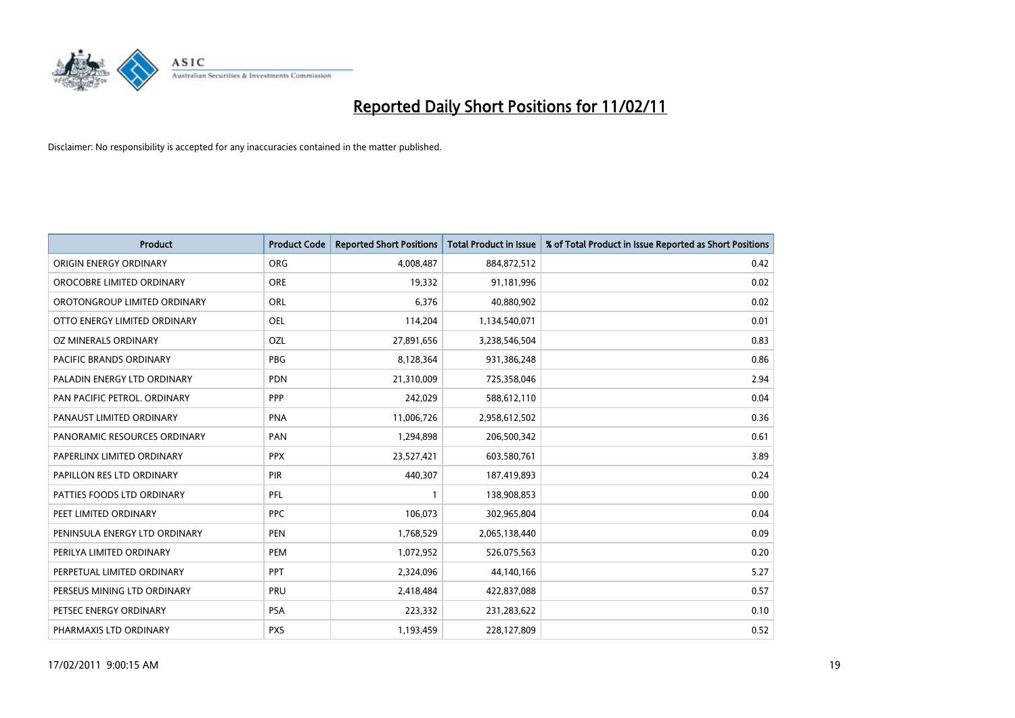

| Product                        | <b>Product Code</b> | <b>Reported Short Positions</b> | <b>Total Product in Issue</b> | % of Total Product in Issue Reported as Short Positions |
|--------------------------------|---------------------|---------------------------------|-------------------------------|---------------------------------------------------------|
| ORIGIN ENERGY ORDINARY         | ORG                 | 4,008,487                       | 884,872,512                   | 0.42                                                    |
| OROCOBRE LIMITED ORDINARY      | <b>ORE</b>          | 19,332                          | 91,181,996                    | 0.02                                                    |
| OROTONGROUP LIMITED ORDINARY   | <b>ORL</b>          | 6,376                           | 40,880,902                    | 0.02                                                    |
| OTTO ENERGY LIMITED ORDINARY   | OEL                 | 114,204                         | 1,134,540,071                 | 0.01                                                    |
| OZ MINERALS ORDINARY           | OZL                 | 27,891,656                      | 3,238,546,504                 | 0.83                                                    |
| <b>PACIFIC BRANDS ORDINARY</b> | <b>PBG</b>          | 8,128,364                       | 931,386,248                   | 0.86                                                    |
| PALADIN ENERGY LTD ORDINARY    | <b>PDN</b>          | 21,310,009                      | 725,358,046                   | 2.94                                                    |
| PAN PACIFIC PETROL. ORDINARY   | PPP                 | 242,029                         | 588,612,110                   | 0.04                                                    |
| PANAUST LIMITED ORDINARY       | <b>PNA</b>          | 11,006,726                      | 2,958,612,502                 | 0.36                                                    |
| PANORAMIC RESOURCES ORDINARY   | PAN                 | 1,294,898                       | 206,500,342                   | 0.61                                                    |
| PAPERLINX LIMITED ORDINARY     | <b>PPX</b>          | 23,527,421                      | 603,580,761                   | 3.89                                                    |
| PAPILLON RES LTD ORDINARY      | PIR                 | 440,307                         | 187,419,893                   | 0.24                                                    |
| PATTIES FOODS LTD ORDINARY     | PFL                 |                                 | 138,908,853                   | 0.00                                                    |
| PEET LIMITED ORDINARY          | <b>PPC</b>          | 106,073                         | 302,965,804                   | 0.04                                                    |
| PENINSULA ENERGY LTD ORDINARY  | <b>PEN</b>          | 1,768,529                       | 2,065,138,440                 | 0.09                                                    |
| PERILYA LIMITED ORDINARY       | PEM                 | 1,072,952                       | 526,075,563                   | 0.20                                                    |
| PERPETUAL LIMITED ORDINARY     | <b>PPT</b>          | 2,324,096                       | 44,140,166                    | 5.27                                                    |
| PERSEUS MINING LTD ORDINARY    | PRU                 | 2,418,484                       | 422,837,088                   | 0.57                                                    |
| PETSEC ENERGY ORDINARY         | <b>PSA</b>          | 223,332                         | 231,283,622                   | 0.10                                                    |
| PHARMAXIS LTD ORDINARY         | <b>PXS</b>          | 1,193,459                       | 228,127,809                   | 0.52                                                    |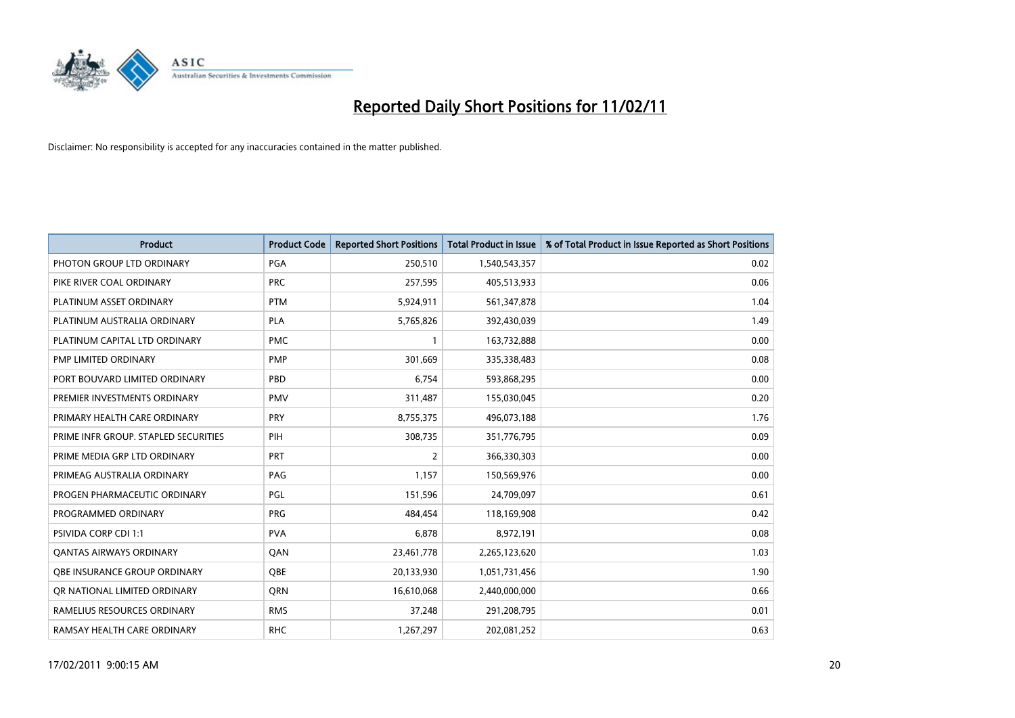

| Product                              | <b>Product Code</b> | <b>Reported Short Positions</b> | <b>Total Product in Issue</b> | % of Total Product in Issue Reported as Short Positions |
|--------------------------------------|---------------------|---------------------------------|-------------------------------|---------------------------------------------------------|
| PHOTON GROUP LTD ORDINARY            | PGA                 | 250,510                         | 1,540,543,357                 | 0.02                                                    |
| PIKE RIVER COAL ORDINARY             | <b>PRC</b>          | 257,595                         | 405,513,933                   | 0.06                                                    |
| PLATINUM ASSET ORDINARY              | <b>PTM</b>          | 5,924,911                       | 561,347,878                   | 1.04                                                    |
| PLATINUM AUSTRALIA ORDINARY          | <b>PLA</b>          | 5,765,826                       | 392,430,039                   | 1.49                                                    |
| PLATINUM CAPITAL LTD ORDINARY        | <b>PMC</b>          |                                 | 163,732,888                   | 0.00                                                    |
| PMP LIMITED ORDINARY                 | <b>PMP</b>          | 301,669                         | 335,338,483                   | 0.08                                                    |
| PORT BOUVARD LIMITED ORDINARY        | PBD                 | 6,754                           | 593,868,295                   | 0.00                                                    |
| PREMIER INVESTMENTS ORDINARY         | <b>PMV</b>          | 311,487                         | 155,030,045                   | 0.20                                                    |
| PRIMARY HEALTH CARE ORDINARY         | <b>PRY</b>          | 8,755,375                       | 496,073,188                   | 1.76                                                    |
| PRIME INFR GROUP. STAPLED SECURITIES | PIH                 | 308,735                         | 351,776,795                   | 0.09                                                    |
| PRIME MEDIA GRP LTD ORDINARY         | <b>PRT</b>          | 2                               | 366,330,303                   | 0.00                                                    |
| PRIMEAG AUSTRALIA ORDINARY           | PAG                 | 1,157                           | 150,569,976                   | 0.00                                                    |
| PROGEN PHARMACEUTIC ORDINARY         | PGL                 | 151,596                         | 24,709,097                    | 0.61                                                    |
| PROGRAMMED ORDINARY                  | <b>PRG</b>          | 484,454                         | 118,169,908                   | 0.42                                                    |
| PSIVIDA CORP CDI 1:1                 | <b>PVA</b>          | 6,878                           | 8,972,191                     | 0.08                                                    |
| <b>QANTAS AIRWAYS ORDINARY</b>       | <b>OAN</b>          | 23,461,778                      | 2,265,123,620                 | 1.03                                                    |
| OBE INSURANCE GROUP ORDINARY         | <b>OBE</b>          | 20,133,930                      | 1,051,731,456                 | 1.90                                                    |
| OR NATIONAL LIMITED ORDINARY         | <b>ORN</b>          | 16,610,068                      | 2,440,000,000                 | 0.66                                                    |
| RAMELIUS RESOURCES ORDINARY          | <b>RMS</b>          | 37,248                          | 291,208,795                   | 0.01                                                    |
| RAMSAY HEALTH CARE ORDINARY          | <b>RHC</b>          | 1,267,297                       | 202,081,252                   | 0.63                                                    |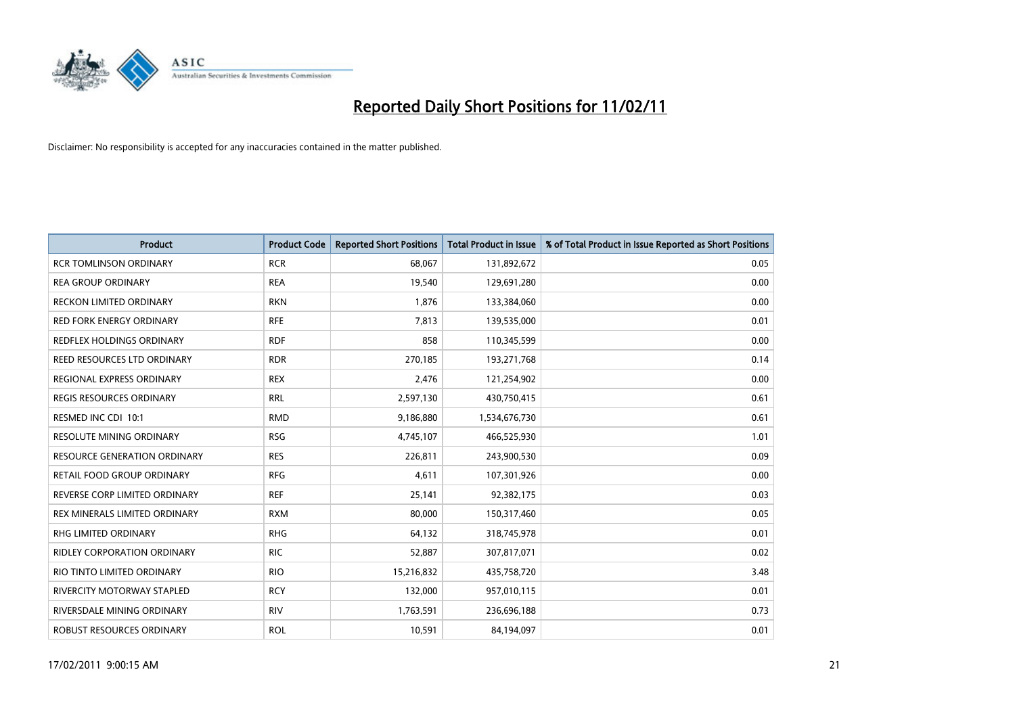

| <b>Product</b>                      | <b>Product Code</b> | <b>Reported Short Positions</b> | <b>Total Product in Issue</b> | % of Total Product in Issue Reported as Short Positions |
|-------------------------------------|---------------------|---------------------------------|-------------------------------|---------------------------------------------------------|
| <b>RCR TOMLINSON ORDINARY</b>       | <b>RCR</b>          | 68,067                          | 131,892,672                   | 0.05                                                    |
| <b>REA GROUP ORDINARY</b>           | <b>REA</b>          | 19,540                          | 129,691,280                   | 0.00                                                    |
| <b>RECKON LIMITED ORDINARY</b>      | <b>RKN</b>          | 1,876                           | 133,384,060                   | 0.00                                                    |
| RED FORK ENERGY ORDINARY            | <b>RFE</b>          | 7,813                           | 139,535,000                   | 0.01                                                    |
| REDFLEX HOLDINGS ORDINARY           | <b>RDF</b>          | 858                             | 110,345,599                   | 0.00                                                    |
| REED RESOURCES LTD ORDINARY         | <b>RDR</b>          | 270,185                         | 193,271,768                   | 0.14                                                    |
| REGIONAL EXPRESS ORDINARY           | <b>REX</b>          | 2,476                           | 121,254,902                   | 0.00                                                    |
| <b>REGIS RESOURCES ORDINARY</b>     | <b>RRL</b>          | 2,597,130                       | 430,750,415                   | 0.61                                                    |
| RESMED INC CDI 10:1                 | <b>RMD</b>          | 9,186,880                       | 1,534,676,730                 | 0.61                                                    |
| <b>RESOLUTE MINING ORDINARY</b>     | <b>RSG</b>          | 4,745,107                       | 466,525,930                   | 1.01                                                    |
| <b>RESOURCE GENERATION ORDINARY</b> | <b>RES</b>          | 226,811                         | 243,900,530                   | 0.09                                                    |
| RETAIL FOOD GROUP ORDINARY          | <b>RFG</b>          | 4,611                           | 107,301,926                   | 0.00                                                    |
| REVERSE CORP LIMITED ORDINARY       | <b>REF</b>          | 25,141                          | 92,382,175                    | 0.03                                                    |
| REX MINERALS LIMITED ORDINARY       | <b>RXM</b>          | 80,000                          | 150,317,460                   | 0.05                                                    |
| <b>RHG LIMITED ORDINARY</b>         | <b>RHG</b>          | 64,132                          | 318,745,978                   | 0.01                                                    |
| <b>RIDLEY CORPORATION ORDINARY</b>  | <b>RIC</b>          | 52,887                          | 307,817,071                   | 0.02                                                    |
| RIO TINTO LIMITED ORDINARY          | <b>RIO</b>          | 15,216,832                      | 435,758,720                   | 3.48                                                    |
| RIVERCITY MOTORWAY STAPLED          | <b>RCY</b>          | 132,000                         | 957,010,115                   | 0.01                                                    |
| RIVERSDALE MINING ORDINARY          | <b>RIV</b>          | 1,763,591                       | 236,696,188                   | 0.73                                                    |
| ROBUST RESOURCES ORDINARY           | <b>ROL</b>          | 10,591                          | 84,194,097                    | 0.01                                                    |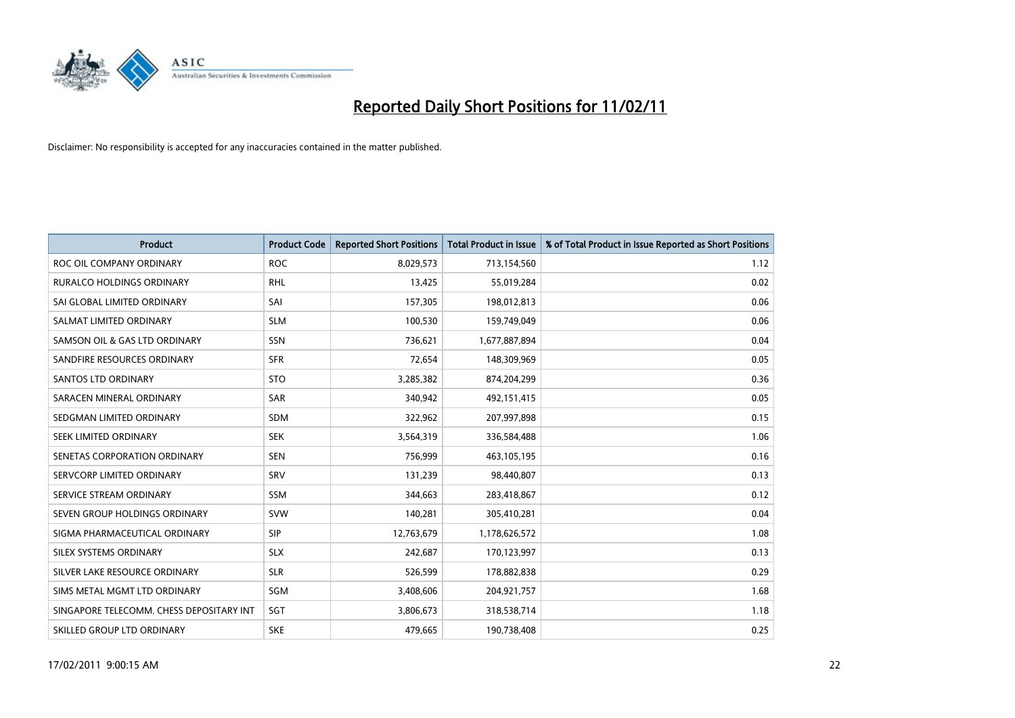

| Product                                  | <b>Product Code</b> | <b>Reported Short Positions</b> | <b>Total Product in Issue</b> | % of Total Product in Issue Reported as Short Positions |
|------------------------------------------|---------------------|---------------------------------|-------------------------------|---------------------------------------------------------|
| ROC OIL COMPANY ORDINARY                 | <b>ROC</b>          | 8,029,573                       | 713,154,560                   | 1.12                                                    |
| RURALCO HOLDINGS ORDINARY                | <b>RHL</b>          | 13,425                          | 55,019,284                    | 0.02                                                    |
| SAI GLOBAL LIMITED ORDINARY              | SAI                 | 157,305                         | 198,012,813                   | 0.06                                                    |
| SALMAT LIMITED ORDINARY                  | <b>SLM</b>          | 100,530                         | 159,749,049                   | 0.06                                                    |
| SAMSON OIL & GAS LTD ORDINARY            | <b>SSN</b>          | 736,621                         | 1,677,887,894                 | 0.04                                                    |
| SANDFIRE RESOURCES ORDINARY              | <b>SFR</b>          | 72,654                          | 148,309,969                   | 0.05                                                    |
| <b>SANTOS LTD ORDINARY</b>               | <b>STO</b>          | 3,285,382                       | 874,204,299                   | 0.36                                                    |
| SARACEN MINERAL ORDINARY                 | <b>SAR</b>          | 340,942                         | 492,151,415                   | 0.05                                                    |
| SEDGMAN LIMITED ORDINARY                 | <b>SDM</b>          | 322,962                         | 207,997,898                   | 0.15                                                    |
| SEEK LIMITED ORDINARY                    | <b>SEK</b>          | 3,564,319                       | 336,584,488                   | 1.06                                                    |
| SENETAS CORPORATION ORDINARY             | <b>SEN</b>          | 756,999                         | 463,105,195                   | 0.16                                                    |
| SERVCORP LIMITED ORDINARY                | SRV                 | 131,239                         | 98,440,807                    | 0.13                                                    |
| SERVICE STREAM ORDINARY                  | <b>SSM</b>          | 344,663                         | 283,418,867                   | 0.12                                                    |
| SEVEN GROUP HOLDINGS ORDINARY            | <b>SVW</b>          | 140,281                         | 305,410,281                   | 0.04                                                    |
| SIGMA PHARMACEUTICAL ORDINARY            | <b>SIP</b>          | 12,763,679                      | 1,178,626,572                 | 1.08                                                    |
| SILEX SYSTEMS ORDINARY                   | <b>SLX</b>          | 242,687                         | 170,123,997                   | 0.13                                                    |
| SILVER LAKE RESOURCE ORDINARY            | <b>SLR</b>          | 526,599                         | 178,882,838                   | 0.29                                                    |
| SIMS METAL MGMT LTD ORDINARY             | <b>SGM</b>          | 3,408,606                       | 204,921,757                   | 1.68                                                    |
| SINGAPORE TELECOMM. CHESS DEPOSITARY INT | SGT                 | 3,806,673                       | 318,538,714                   | 1.18                                                    |
| SKILLED GROUP LTD ORDINARY               | <b>SKE</b>          | 479,665                         | 190,738,408                   | 0.25                                                    |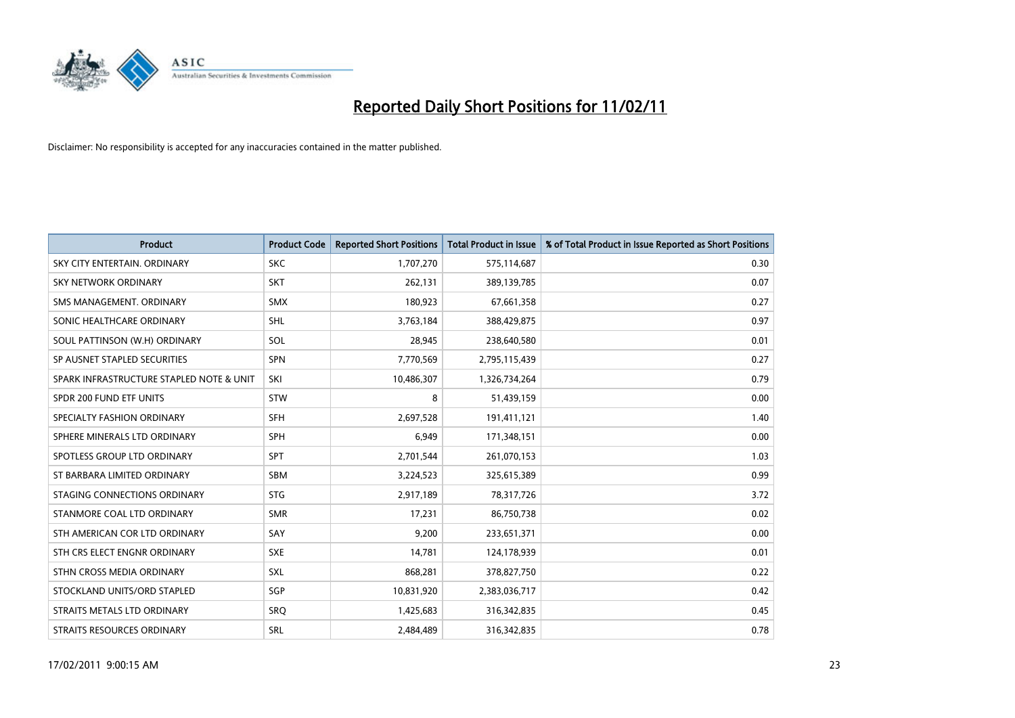

| Product                                  | <b>Product Code</b> | <b>Reported Short Positions</b> | <b>Total Product in Issue</b> | % of Total Product in Issue Reported as Short Positions |
|------------------------------------------|---------------------|---------------------------------|-------------------------------|---------------------------------------------------------|
| SKY CITY ENTERTAIN, ORDINARY             | <b>SKC</b>          | 1,707,270                       | 575,114,687                   | 0.30                                                    |
| SKY NETWORK ORDINARY                     | <b>SKT</b>          | 262,131                         | 389,139,785                   | 0.07                                                    |
| SMS MANAGEMENT, ORDINARY                 | <b>SMX</b>          | 180,923                         | 67,661,358                    | 0.27                                                    |
| SONIC HEALTHCARE ORDINARY                | <b>SHL</b>          | 3,763,184                       | 388,429,875                   | 0.97                                                    |
| SOUL PATTINSON (W.H) ORDINARY            | SOL                 | 28,945                          | 238,640,580                   | 0.01                                                    |
| SP AUSNET STAPLED SECURITIES             | <b>SPN</b>          | 7,770,569                       | 2,795,115,439                 | 0.27                                                    |
| SPARK INFRASTRUCTURE STAPLED NOTE & UNIT | SKI                 | 10,486,307                      | 1,326,734,264                 | 0.79                                                    |
| SPDR 200 FUND ETF UNITS                  | <b>STW</b>          | 8                               | 51,439,159                    | 0.00                                                    |
| SPECIALTY FASHION ORDINARY               | <b>SFH</b>          | 2,697,528                       | 191,411,121                   | 1.40                                                    |
| SPHERE MINERALS LTD ORDINARY             | <b>SPH</b>          | 6,949                           | 171,348,151                   | 0.00                                                    |
| SPOTLESS GROUP LTD ORDINARY              | <b>SPT</b>          | 2,701,544                       | 261,070,153                   | 1.03                                                    |
| ST BARBARA LIMITED ORDINARY              | <b>SBM</b>          | 3,224,523                       | 325,615,389                   | 0.99                                                    |
| STAGING CONNECTIONS ORDINARY             | <b>STG</b>          | 2,917,189                       | 78,317,726                    | 3.72                                                    |
| STANMORE COAL LTD ORDINARY               | <b>SMR</b>          | 17,231                          | 86,750,738                    | 0.02                                                    |
| STH AMERICAN COR LTD ORDINARY            | SAY                 | 9,200                           | 233,651,371                   | 0.00                                                    |
| STH CRS ELECT ENGNR ORDINARY             | <b>SXE</b>          | 14,781                          | 124,178,939                   | 0.01                                                    |
| STHN CROSS MEDIA ORDINARY                | SXL                 | 868,281                         | 378,827,750                   | 0.22                                                    |
| STOCKLAND UNITS/ORD STAPLED              | SGP                 | 10,831,920                      | 2,383,036,717                 | 0.42                                                    |
| STRAITS METALS LTD ORDINARY              | SRQ                 | 1,425,683                       | 316,342,835                   | 0.45                                                    |
| <b>STRAITS RESOURCES ORDINARY</b>        | SRL                 | 2,484,489                       | 316,342,835                   | 0.78                                                    |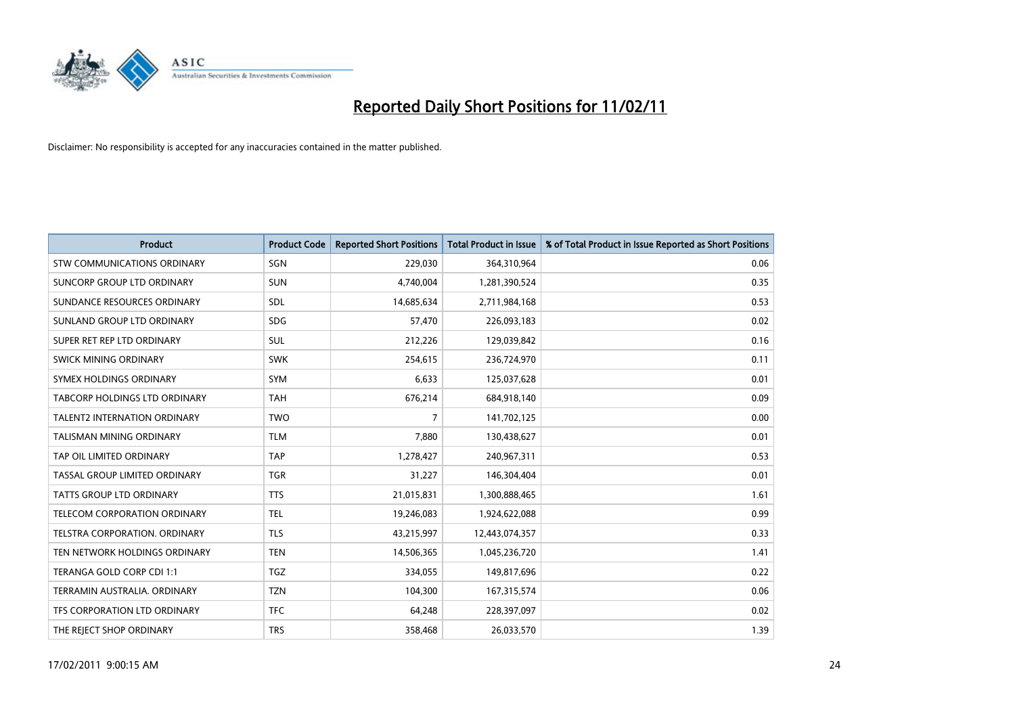

| <b>Product</b>                       | <b>Product Code</b> | <b>Reported Short Positions</b> | <b>Total Product in Issue</b> | % of Total Product in Issue Reported as Short Positions |
|--------------------------------------|---------------------|---------------------------------|-------------------------------|---------------------------------------------------------|
| <b>STW COMMUNICATIONS ORDINARY</b>   | SGN                 | 229,030                         | 364,310,964                   | 0.06                                                    |
| SUNCORP GROUP LTD ORDINARY           | <b>SUN</b>          | 4,740,004                       | 1,281,390,524                 | 0.35                                                    |
| SUNDANCE RESOURCES ORDINARY          | SDL                 | 14,685,634                      | 2,711,984,168                 | 0.53                                                    |
| SUNLAND GROUP LTD ORDINARY           | <b>SDG</b>          | 57,470                          | 226,093,183                   | 0.02                                                    |
| SUPER RET REP LTD ORDINARY           | <b>SUL</b>          | 212,226                         | 129,039,842                   | 0.16                                                    |
| SWICK MINING ORDINARY                | <b>SWK</b>          | 254,615                         | 236,724,970                   | 0.11                                                    |
| SYMEX HOLDINGS ORDINARY              | <b>SYM</b>          | 6.633                           | 125,037,628                   | 0.01                                                    |
| TABCORP HOLDINGS LTD ORDINARY        | <b>TAH</b>          | 676,214                         | 684,918,140                   | 0.09                                                    |
| <b>TALENT2 INTERNATION ORDINARY</b>  | <b>TWO</b>          | 7                               | 141,702,125                   | 0.00                                                    |
| <b>TALISMAN MINING ORDINARY</b>      | <b>TLM</b>          | 7,880                           | 130,438,627                   | 0.01                                                    |
| TAP OIL LIMITED ORDINARY             | <b>TAP</b>          | 1,278,427                       | 240,967,311                   | 0.53                                                    |
| <b>TASSAL GROUP LIMITED ORDINARY</b> | <b>TGR</b>          | 31,227                          | 146,304,404                   | 0.01                                                    |
| <b>TATTS GROUP LTD ORDINARY</b>      | <b>TTS</b>          | 21,015,831                      | 1,300,888,465                 | 1.61                                                    |
| TELECOM CORPORATION ORDINARY         | <b>TEL</b>          | 19,246,083                      | 1,924,622,088                 | 0.99                                                    |
| TELSTRA CORPORATION, ORDINARY        | <b>TLS</b>          | 43,215,997                      | 12,443,074,357                | 0.33                                                    |
| TEN NETWORK HOLDINGS ORDINARY        | <b>TEN</b>          | 14,506,365                      | 1,045,236,720                 | 1.41                                                    |
| TERANGA GOLD CORP CDI 1:1            | <b>TGZ</b>          | 334,055                         | 149,817,696                   | 0.22                                                    |
| TERRAMIN AUSTRALIA. ORDINARY         | <b>TZN</b>          | 104,300                         | 167,315,574                   | 0.06                                                    |
| TFS CORPORATION LTD ORDINARY         | <b>TFC</b>          | 64,248                          | 228,397,097                   | 0.02                                                    |
| THE REJECT SHOP ORDINARY             | <b>TRS</b>          | 358,468                         | 26,033,570                    | 1.39                                                    |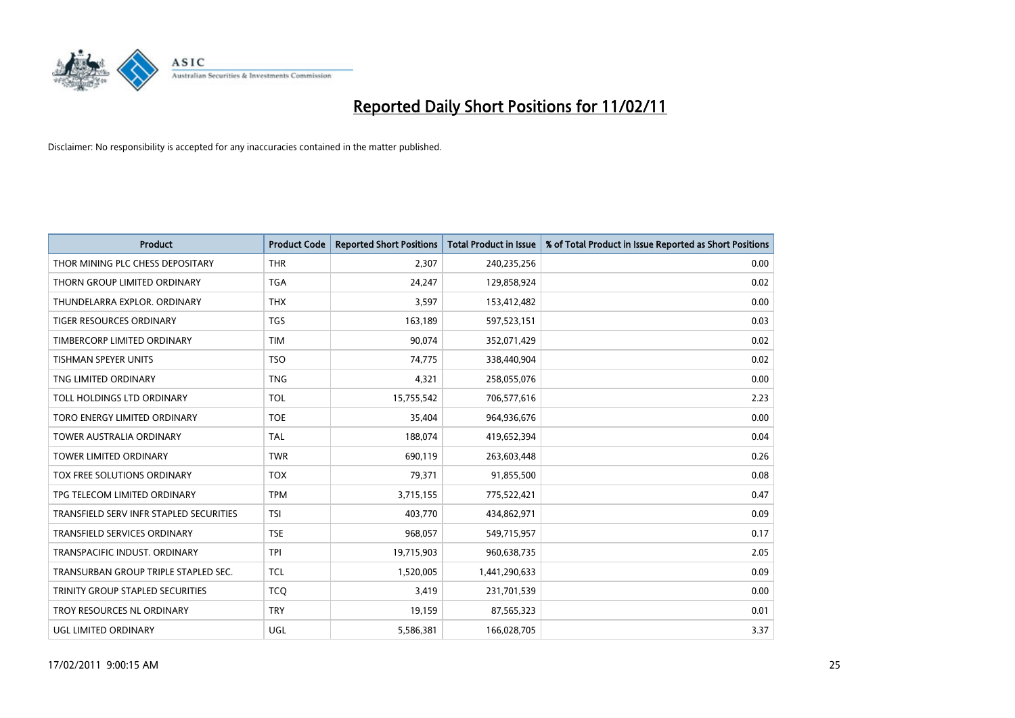

| <b>Product</b>                          | <b>Product Code</b> | <b>Reported Short Positions</b> | <b>Total Product in Issue</b> | % of Total Product in Issue Reported as Short Positions |
|-----------------------------------------|---------------------|---------------------------------|-------------------------------|---------------------------------------------------------|
| THOR MINING PLC CHESS DEPOSITARY        | <b>THR</b>          | 2,307                           | 240,235,256                   | 0.00                                                    |
| THORN GROUP LIMITED ORDINARY            | <b>TGA</b>          | 24,247                          | 129,858,924                   | 0.02                                                    |
| THUNDELARRA EXPLOR. ORDINARY            | <b>THX</b>          | 3,597                           | 153,412,482                   | 0.00                                                    |
| TIGER RESOURCES ORDINARY                | <b>TGS</b>          | 163,189                         | 597,523,151                   | 0.03                                                    |
| TIMBERCORP LIMITED ORDINARY             | <b>TIM</b>          | 90,074                          | 352,071,429                   | 0.02                                                    |
| <b>TISHMAN SPEYER UNITS</b>             | <b>TSO</b>          | 74,775                          | 338,440,904                   | 0.02                                                    |
| TNG LIMITED ORDINARY                    | <b>TNG</b>          | 4,321                           | 258,055,076                   | 0.00                                                    |
| TOLL HOLDINGS LTD ORDINARY              | <b>TOL</b>          | 15,755,542                      | 706,577,616                   | 2.23                                                    |
| TORO ENERGY LIMITED ORDINARY            | <b>TOE</b>          | 35,404                          | 964,936,676                   | 0.00                                                    |
| <b>TOWER AUSTRALIA ORDINARY</b>         | <b>TAL</b>          | 188,074                         | 419,652,394                   | 0.04                                                    |
| TOWER LIMITED ORDINARY                  | <b>TWR</b>          | 690,119                         | 263,603,448                   | 0.26                                                    |
| <b>TOX FREE SOLUTIONS ORDINARY</b>      | <b>TOX</b>          | 79,371                          | 91,855,500                    | 0.08                                                    |
| TPG TELECOM LIMITED ORDINARY            | <b>TPM</b>          | 3,715,155                       | 775,522,421                   | 0.47                                                    |
| TRANSFIELD SERV INFR STAPLED SECURITIES | <b>TSI</b>          | 403,770                         | 434,862,971                   | 0.09                                                    |
| <b>TRANSFIELD SERVICES ORDINARY</b>     | <b>TSE</b>          | 968,057                         | 549,715,957                   | 0.17                                                    |
| TRANSPACIFIC INDUST. ORDINARY           | <b>TPI</b>          | 19,715,903                      | 960,638,735                   | 2.05                                                    |
| TRANSURBAN GROUP TRIPLE STAPLED SEC.    | <b>TCL</b>          | 1,520,005                       | 1,441,290,633                 | 0.09                                                    |
| TRINITY GROUP STAPLED SECURITIES        | <b>TCQ</b>          | 3,419                           | 231,701,539                   | 0.00                                                    |
| TROY RESOURCES NL ORDINARY              | <b>TRY</b>          | 19,159                          | 87,565,323                    | 0.01                                                    |
| UGL LIMITED ORDINARY                    | <b>UGL</b>          | 5,586,381                       | 166,028,705                   | 3.37                                                    |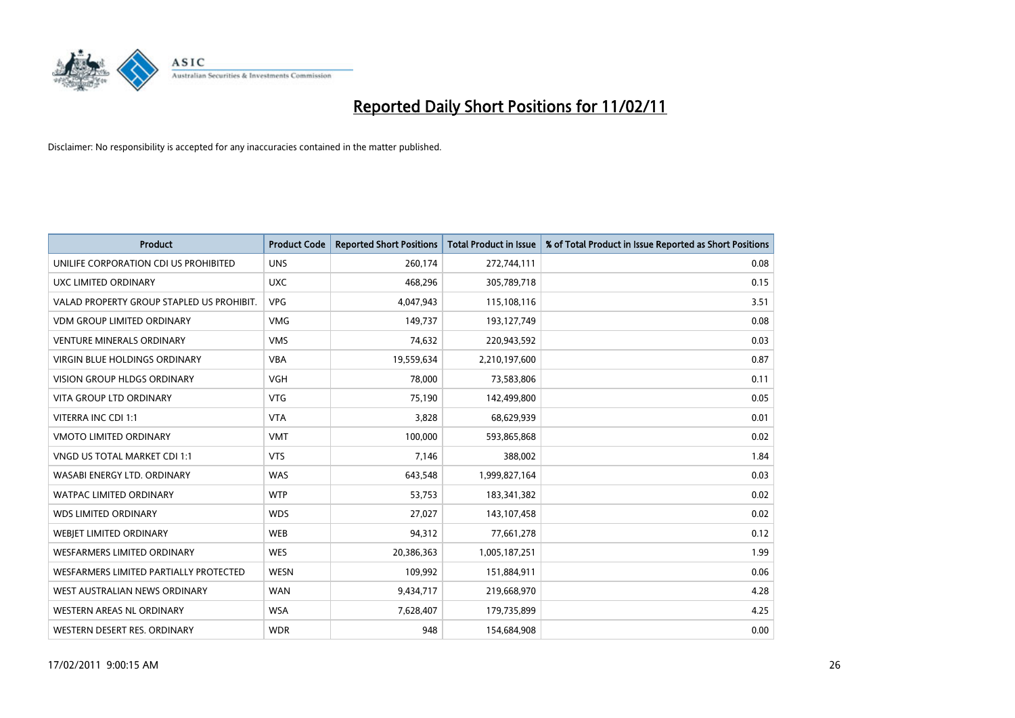

| Product                                   | <b>Product Code</b> | <b>Reported Short Positions</b> | <b>Total Product in Issue</b> | % of Total Product in Issue Reported as Short Positions |
|-------------------------------------------|---------------------|---------------------------------|-------------------------------|---------------------------------------------------------|
| UNILIFE CORPORATION CDI US PROHIBITED     | <b>UNS</b>          | 260,174                         | 272,744,111                   | 0.08                                                    |
| UXC LIMITED ORDINARY                      | <b>UXC</b>          | 468,296                         | 305,789,718                   | 0.15                                                    |
| VALAD PROPERTY GROUP STAPLED US PROHIBIT. | <b>VPG</b>          | 4,047,943                       | 115,108,116                   | 3.51                                                    |
| <b>VDM GROUP LIMITED ORDINARY</b>         | <b>VMG</b>          | 149.737                         | 193,127,749                   | 0.08                                                    |
| <b>VENTURE MINERALS ORDINARY</b>          | <b>VMS</b>          | 74,632                          | 220,943,592                   | 0.03                                                    |
| <b>VIRGIN BLUE HOLDINGS ORDINARY</b>      | <b>VBA</b>          | 19,559,634                      | 2,210,197,600                 | 0.87                                                    |
| <b>VISION GROUP HLDGS ORDINARY</b>        | <b>VGH</b>          | 78,000                          | 73,583,806                    | 0.11                                                    |
| <b>VITA GROUP LTD ORDINARY</b>            | <b>VTG</b>          | 75,190                          | 142,499,800                   | 0.05                                                    |
| VITERRA INC CDI 1:1                       | <b>VTA</b>          | 3,828                           | 68,629,939                    | 0.01                                                    |
| <b>VMOTO LIMITED ORDINARY</b>             | <b>VMT</b>          | 100,000                         | 593,865,868                   | 0.02                                                    |
| VNGD US TOTAL MARKET CDI 1:1              | <b>VTS</b>          | 7,146                           | 388,002                       | 1.84                                                    |
| WASABI ENERGY LTD. ORDINARY               | <b>WAS</b>          | 643,548                         | 1,999,827,164                 | 0.03                                                    |
| <b>WATPAC LIMITED ORDINARY</b>            | <b>WTP</b>          | 53,753                          | 183,341,382                   | 0.02                                                    |
| <b>WDS LIMITED ORDINARY</b>               | <b>WDS</b>          | 27,027                          | 143,107,458                   | 0.02                                                    |
| WEBJET LIMITED ORDINARY                   | <b>WEB</b>          | 94,312                          | 77,661,278                    | 0.12                                                    |
| <b>WESFARMERS LIMITED ORDINARY</b>        | <b>WES</b>          | 20,386,363                      | 1,005,187,251                 | 1.99                                                    |
| WESFARMERS LIMITED PARTIALLY PROTECTED    | <b>WESN</b>         | 109,992                         | 151,884,911                   | 0.06                                                    |
| WEST AUSTRALIAN NEWS ORDINARY             | <b>WAN</b>          | 9,434,717                       | 219,668,970                   | 4.28                                                    |
| WESTERN AREAS NL ORDINARY                 | <b>WSA</b>          | 7,628,407                       | 179,735,899                   | 4.25                                                    |
| WESTERN DESERT RES. ORDINARY              | <b>WDR</b>          | 948                             | 154,684,908                   | 0.00                                                    |